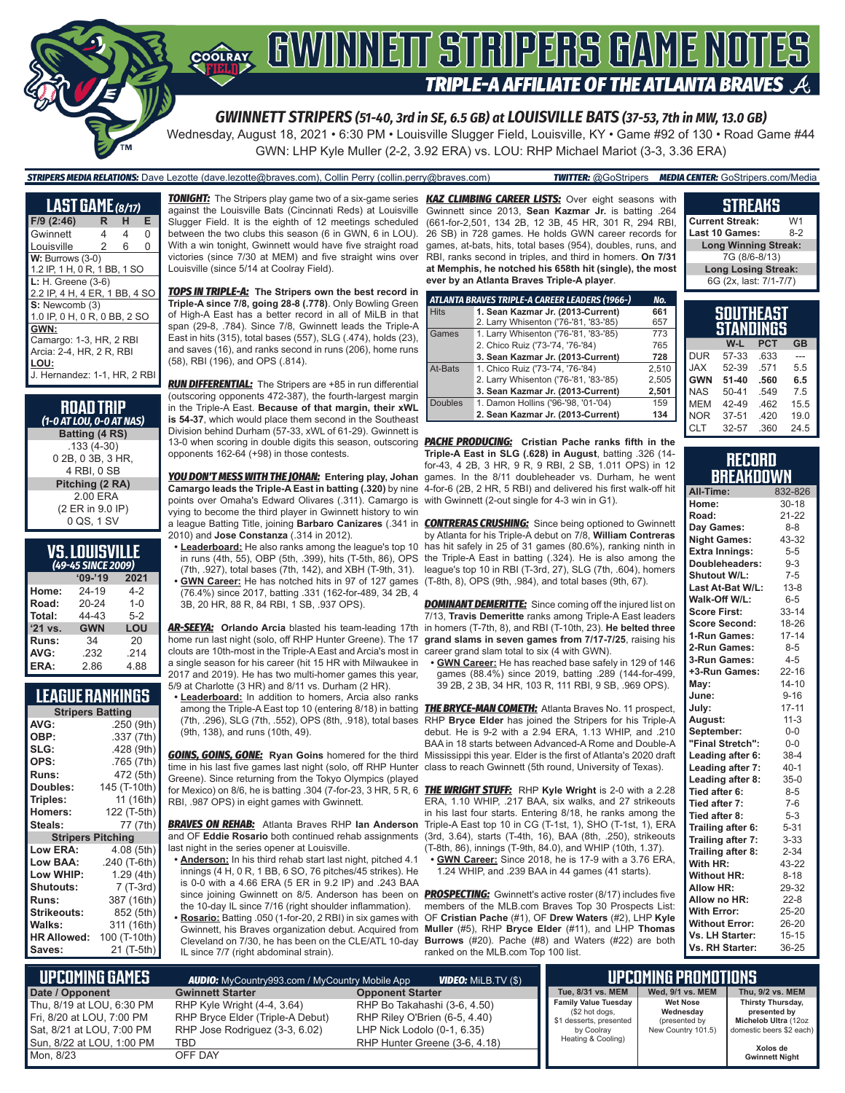

*STRIPERS MEDIA RELATIONS:* Dave Lezotte (dave.lezotte@braves.com), Collin Perry (collin.perry@braves.com) *TWITTER:* @GoStripers *MEDIA CENTER:* GoStripers.com/Media

Wednesday, August 18, 2021 • 6:30 PM • Louisville Slugger Field, Louisville, KY • Game #92 of 130 • Road Game #44

GWN: LHP Kyle Muller (2-2, 3.92 ERA) vs. LOU: RHP Michael Mariot (3-3, 3.36 ERA)

#### **LAST GAME** *(8/17)* **F/9 (2:46) R H E** Gwinnett 4 4 Louisville 2 6 0 **W: Burrows (3-0)** 1.2 IP, 1 H, 0 R, 1 BB, 1 SO **L:** H. Greene (3-6) 2.2 IP, 4 H, 4 ER, 1 BB, 4 SO **S:** Newcomb (3) 1.0 IP, 0 H, 0 R, 0 BB, 2 SO **GWN:** Camargo: 1-3, HR, 2 RBI Arcia: 2-4, HR, 2 R, RBI **LOU:** J. Hernandez: 1-1, HR, 2 RBI

| <b>ROAD TRIP</b>         |
|--------------------------|
| (1-0 AT LOU, 0-0 AT NAS) |
| Batting (4 RS)           |
| $.133(4-30)$             |
| 0 2B, 0 3B, 3 HR,        |
| 4 RBI. 0 SB              |
| Pitching (2 RA)          |
| 2.00 ERA                 |
| (2 ER in 9.0 IP)         |
| 0 QS, 1 SV               |
|                          |

| VS.LOUISVILLE      |  |
|--------------------|--|
| (49-45 SINCE 2009) |  |

| (49-43 SINCE 2009) |            |         |  |  |  |  |
|--------------------|------------|---------|--|--|--|--|
|                    | $'09-'19$  | 2021    |  |  |  |  |
| Home:              | 24-19      | 4-2     |  |  |  |  |
| Road:              | 20-24      | $1 - 0$ |  |  |  |  |
| Total:             | 44-43      | $5 - 2$ |  |  |  |  |
| '21 vs.            | <b>GWN</b> | LOU     |  |  |  |  |
| Runs:              | 34         | 20      |  |  |  |  |
| AVG:               | .232       | .214    |  |  |  |  |
| ERA:               | 2.86       | 4.88    |  |  |  |  |

#### **LEAGUE RANKINGS**

| <b>Stripers Batting</b>  |              |  |  |  |
|--------------------------|--------------|--|--|--|
| AVG:                     | .250 (9th)   |  |  |  |
| OBP:                     | .337 (7th)   |  |  |  |
| SLG:                     | .428 (9th)   |  |  |  |
| OPS:                     | .765 (7th)   |  |  |  |
| <b>Runs:</b>             | 472 (5th)    |  |  |  |
| Doubles:                 | 145 (T-10th) |  |  |  |
| Triples:                 | 11 (16th)    |  |  |  |
| <b>Homers:</b>           | 122 (T-5th)  |  |  |  |
| Steals:                  | 77 (7th)     |  |  |  |
| <b>Stripers Pitching</b> |              |  |  |  |
| <b>Low ERA:</b>          | 4.08 (5th)   |  |  |  |
| Low BAA:                 | .240 (T-6th) |  |  |  |
| Low WHIP:                | 1.29 (4th)   |  |  |  |
| Shutouts:                | 7 (T-3rd)    |  |  |  |
| Runs:                    | 387 (16th)   |  |  |  |
| Strikeouts:              | 852 (5th)    |  |  |  |
| Walks:                   | 311 (16th)   |  |  |  |
| <b>HR Allowed:</b>       | 100 (T-10th) |  |  |  |
| Saves:                   | 21 (T-5th)   |  |  |  |

*TONIGHT:* The Stripers play game two of a six-game series *KAZ CLIMBING CAREER LISTS:* Over eight seasons with against the Louisville Bats (Cincinnati Reds) at Louisville Slugger Field. It is the eighth of 12 meetings scheduled between the two clubs this season (6 in GWN, 6 in LOU). With a win tonight, Gwinnett would have five straight road victories (since 7/30 at MEM) and five straight wins over Louisville (since 5/14 at Coolray Field).

*TOPS IN TRIPLE-A:* **The Stripers own the best record in Triple-A since 7/8, going 28-8 (.778)**. Only Bowling Green of High-A East has a better record in all of MiLB in that span (29-8, .784). Since 7/8, Gwinnett leads the Triple-A East in hits (315), total bases (557), SLG (.474), holds (23), and saves (16), and ranks second in runs (206), home runs (58), RBI (196), and OPS (.814).

*RUN DIFFERENTIAL:* The Stripers are +85 in run differential (outscoring opponents 472-387), the fourth-largest margin in the Triple-A East. **Because of that margin, their xWL is 54-37**, which would place them second in the Southeast Division behind Durham (57-33, xWL of 61-29). Gwinnett is 13-0 when scoring in double digits this season, outscoring *PACHE PRODUCING:* **Cristian Pache ranks fifth in the**  opponents 162-64 (+98) in those contests.

**Camargo leads the Triple-A East in batting (.320)** by nine points over Omaha's Edward Olivares (.311). Camargo is with Gwinnett (2-out single for 4-3 win in G1). vying to become the third player in Gwinnett history to win 2010) and **Jose Constanza** (.314 in 2012).

**• Leaderboard:** He also ranks among the league's top 10 (7th, .927), total bases (7th, 142), and XBH (T-9th, 31). **• GWN Career:** He has notched hits in 97 of 127 games (76.4%) since 2017, batting .331 (162-for-489, 34 2B, 4 3B, 20 HR, 88 R, 84 RBI, 1 SB, .937 OPS).

clouts are 10th-most in the Triple-A East and Arcia's most in career grand slam total to six (4 with GWN). a single season for his career (hit 15 HR with Milwaukee in 2017 and 2019). He has two multi-homer games this year, 5/9 at Charlotte (3 HR) and 8/11 vs. Durham (2 HR).

**• Leaderboard:** In addition to homers, Arcia also ranks (7th, .296), SLG (7th, .552), OPS (8th, .918), total bases (9th, 138), and runs (10th, 49).

*GOINS, GOINS, GONE:* **Ryan Goins** homered for the third Mississippi this year. Elder is the first of Atlanta's 2020 draft time in his last five games last night (solo, off RHP Hunter class to reach Gwinnett (5th round, University of Texas). Greene). Since returning from the Tokyo Olympics (played RBI, .987 OPS) in eight games with Gwinnett.

*BRAVES ON REHAB:* Atlanta Braves RHP **Ian Anderson** and OF **Eddie Rosario** both continued rehab assignments last night in the series opener at Louisville.

- **• Anderson:** In his third rehab start last night, pitched 4.1 innings (4 H, 0 R, 1 BB, 6 SO, 76 pitches/45 strikes). He is 0-0 with a 4.66 ERA (5 ER in 9.2 IP) and .243 BAA the 10-day IL since 7/16 (right shoulder inflammation).
- **• Rosario:** Batting .050 (1-for-20, 2 RBI) in six games with IL since 7/7 (right abdominal strain).

Gwinnett since 2013, **Sean Kazmar Jr.** is batting .264 (661-for-2,501, 134 2B, 12 3B, 45 HR, 301 R, 294 RBI, 26 SB) in 728 games. He holds GWN career records for games, at-bats, hits, total bases (954), doubles, runs, and RBI, ranks second in triples, and third in homers. **On 7/31 at Memphis, he notched his 658th hit (single), the most ever by an Atlanta Braves Triple-A player**.

|                | ATLANTA BRAVES TRIPLE-A CAREER LEADERS (1966-) | No.   |
|----------------|------------------------------------------------|-------|
| <b>Hits</b>    | 1. Sean Kazmar Jr. (2013-Current)              | 661   |
|                | 2. Larry Whisenton ('76-'81, '83-'85)          | 657   |
| Games          | 1. Larry Whisenton ('76-'81, '83-'85)          | 773   |
|                | 2. Chico Ruiz ('73-'74, '76-'84)               | 765   |
|                | 3. Sean Kazmar Jr. (2013-Current)              | 728   |
| At-Bats        | 1. Chico Ruiz ('73-'74, '76-'84)               | 2.510 |
|                | 2. Larry Whisenton ('76-'81, '83-'85)          | 2.505 |
|                | 3. Sean Kazmar Jr. (2013-Current)              | 2,501 |
| <b>Doubles</b> | 1. Damon Hollins ('96-'98, '01-'04)            | 159   |
|                | 2. Sean Kazmar Jr. (2013-Current)              | 134   |

*YOU DON'T MESS WITH THE JOHAN:* **Entering play, Johan**  games. In the 8/11 doubleheader vs. Durham, he went **Triple-A East in SLG (.628) in August**, batting .326 (14 for-43, 4 2B, 3 HR, 9 R, 9 RBI, 2 SB, 1.011 OPS) in 12 4-for-6 (2B, 2 HR, 5 RBI) and delivered his first walk-off hit

a league Batting Title, joining **Barbaro Canizares** (.341 in *CONTRERAS CRUSHING:* Since being optioned to Gwinnett in runs (4th, 55), OBP (5th, .399), hits (T-5th, 86), OPS the Triple-A East in batting (.324). He is also among the by Atlanta for his Triple-A debut on 7/8, **William Contreras** has hit safely in 25 of 31 games (80.6%), ranking ninth in league's top 10 in RBI (T-3rd, 27), SLG (7th, .604), homers (T-8th, 8), OPS (9th, .984), and total bases (9th, 67).

*AR-SEEYA:* **Orlando Arcia** blasted his team-leading 17th in homers (T-7th, 8), and RBI (T-10th, 23). **He belted three**  home run last night (solo, off RHP Hunter Greene). The 17 **grand slams in seven games from 7/17-7/25**, raising his **DOMINANT DEMERITTE:** Since coming off the injured list on 7/13, **Travis Demeritte** ranks among Triple-A East leaders

**• GWN Career:** He has reached base safely in 129 of 146 games (88.4%) since 2019, batting .289 (144-for-499, 39 2B, 2 3B, 34 HR, 103 R, 111 RBI, 9 SB, .969 OPS).

among the Triple-A East top 10 (entering 8/18) in batting *THE BRYCE-MAN COMETH:* Atlanta Braves No. 11 prospect, RHP **Bryce Elder** has joined the Stripers for his Triple-A debut. He is 9-2 with a 2.94 ERA, 1.13 WHIP, and .210 BAA in 18 starts between Advanced-A Rome and Double-A

for Mexico) on 8/6, he is batting .304 (7-for-23, 3 HR, 5 R, 6 *THE WRIGHT STUFF:* RHP **Kyle Wright** is 2-0 with a 2.28 ERA, 1.10 WHIP, .217 BAA, six walks, and 27 strikeouts in his last four starts. Entering 8/18, he ranks among the Triple-A East top 10 in CG (T-1st, 1), SHO (T-1st, 1), ERA (3rd, 3.64), starts (T-4th, 16), BAA (8th, .250), strikeouts (T-8th, 86), innings (T-9th, 84.0), and WHIP (10th, 1.37). **• GWN Career:** Since 2018, he is 17-9 with a 3.76 ERA,

1.24 WHIP, and .239 BAA in 44 games (41 starts).

since joining Gwinnett on 8/5. Anderson has been on *PROSPECTING:* Gwinnett's active roster (8/17) includes five Gwinnett, his Braves organization debut. Acquired from **Muller** (#5), RHP **Bryce Elder** (#11), and LHP **Thomas**  Cleveland on 7/30, he has been on the CLE/ATL 10-day **Burrows** (#20). Pache (#8) and Waters (#22) are both members of the MLB.com Braves Top 30 Prospects List: OF **Cristian Pache** (#1), OF **Drew Waters** (#2), LHP **Kyle**  ranked on the MLB.com Top 100 list.

#### **SOUTHEAST Current Streak:** W1<br>Last 10 Games: 8-2 **Last 10 Games: Long Winning Streak:** 7G (8/6-8/13) **Long Losing Streak:** 6G (2x, last: 7/1-7/7)

**STREAKS**

|            | 500 I NEA5 I<br>STANDINGS |            |           |
|------------|---------------------------|------------|-----------|
|            | W-L                       | <b>PCT</b> | <b>GB</b> |
| <b>DUR</b> | 57-33                     | .633       |           |
| <b>JAX</b> | 52-39                     | .571       | 5.5       |
| <b>GWN</b> | $51 - 40$                 | .560       | 6.5       |
| <b>NAS</b> | $50 - 41$                 | 549        | 75        |
| <b>MEM</b> | 42-49                     | .462       | 15.5      |
| <b>NOR</b> | $37 - 51$                 | .420       | 19.0      |
| <b>CLT</b> | 32-57                     | .360       | 24.5      |

| RECORD    |  |
|-----------|--|
| BREAKDOWN |  |

| All-Time:             | 832-826   |
|-----------------------|-----------|
| Home:                 | $30 - 18$ |
| Road:                 | $21 - 22$ |
| Day Games:            | $8 - 8$   |
| <b>Night Games:</b>   | 43-32     |
| <b>Extra Innings:</b> | $5 - 5$   |
| Doubleheaders:        | $9 - 3$   |
| <b>Shutout W/L:</b>   | $7-5$     |
| Last At-Bat W/L:      | $13 - 8$  |
| Walk-Off W/L:         | $6-5$     |
| <b>Score First:</b>   | $33 - 14$ |
| <b>Score Second:</b>  | 18-26     |
| 1-Run Games:          | $17 - 14$ |
| 2-Run Games:          | $8 - 5$   |
| 3-Run Games:          | $4 - 5$   |
| +3-Run Games:         | $22 - 16$ |
| May:                  | $14 - 10$ |
| June:                 | $9 - 16$  |
| July:                 | $17 - 11$ |
| August:               | $11-3$    |
| September:            | $0-0$     |
| "Final Stretch":      | $0 - 0$   |
| Leading after 6:      | 38-4      |
| Leading after 7:      | $40 - 1$  |
| Leading after 8:      | $35-0$    |
| Tied after 6:         | $8 - 5$   |
| Tied after 7:         | $7-6$     |
| Tied after 8:         | $5 - 3$   |
| Trailing after 6:     | $5 - 31$  |
| Trailing after 7:     | $3 - 33$  |
| Trailing after 8:     | $2 - 34$  |
| With HR:              | 43-22     |
| <b>Without HR:</b>    | $8 - 18$  |
| <b>Allow HR:</b>      | 29-32     |
| Allow no HR:          | $22 - 8$  |
| <b>With Error:</b>    | 25-20     |
| <b>Without Error:</b> | 26-20     |
| Vs. LH Starter:       | $15 - 15$ |
| Vs. RH Starter:       | 36-25     |

| <b>UPCOMING GAMES</b>     | <b>AUDIO:</b> MyCountry993.com / MyCountry Mobile App | <b>VIDEO:</b> MiLB.TV (\$)    | <b>UPCOMING PROMOTIONS</b>                    |  |
|---------------------------|-------------------------------------------------------|-------------------------------|-----------------------------------------------|--|
| Date / Opponent           | <b>Gwinnett Starter</b>                               | <b>Opponent Starter</b>       | Tue, 8/31 vs. MEM                             |  |
| Thu. 8/19 at LOU. 6:30 PM | RHP Kyle Wright (4-4, 3.64)                           | RHP Bo Takahashi (3-6, 4.50)  | <b>Family Value Tuesday</b><br>(\$2 hot dogs, |  |
| Fri, 8/20 at LOU, 7:00 PM | RHP Bryce Elder (Triple-A Debut)                      | RHP Riley O'Brien (6-5, 4.40) | \$1 desserts, presented                       |  |
| Sat, 8/21 at LOU, 7:00 PM | RHP Jose Rodriguez (3-3, 6.02)                        | LHP Nick Lodolo (0-1, 6.35)   | by Coolray                                    |  |
| Sun, 8/22 at LOU, 1:00 PM | TBD                                                   | RHP Hunter Greene (3-6, 4.18) | Heating & Cooling)                            |  |
| Mon, 8/23                 | OFF DAY                                               |                               |                                               |  |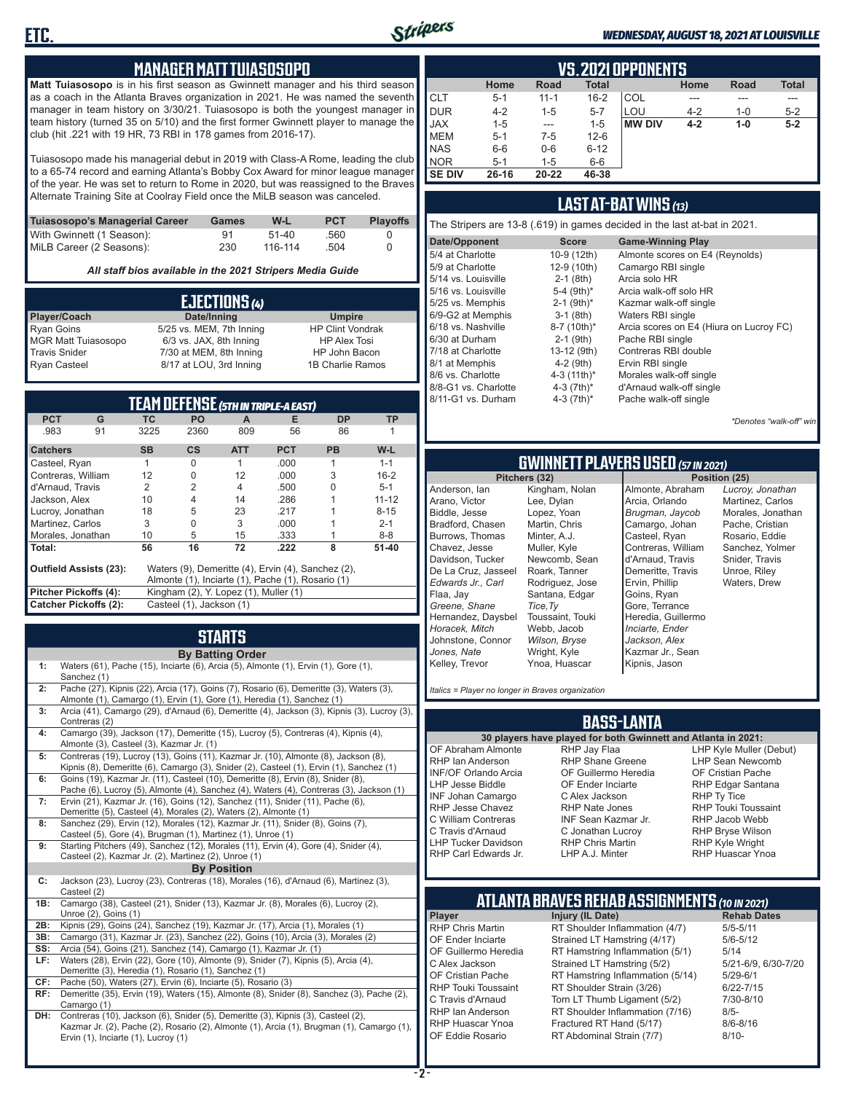

#### *WEDNESDAY, AUGUST 18, 2021 AT LOUISVILLE*

#### **MANAGER MATT TUIASOSOPO**

**Matt Tuiasosopo** is in his first season as Gwinnett manager and his third season as a coach in the Atlanta Braves organization in 2021. He was named the seventh manager in team history on 3/30/21. Tuiasosopo is both the youngest manager in team history (turned 35 on 5/10) and the first former Gwinnett player to manage the club (hit .221 with 19 HR, 73 RBI in 178 games from 2016-17).

Tuiasosopo made his managerial debut in 2019 with Class-A Rome, leading the club to a 65-74 record and earning Atlanta's Bobby Cox Award for minor league manager of the year. He was set to return to Rome in 2020, but was reassigned to the Braves Alternate Training Site at Coolray Field once the MiLB season was canceled.

| Tuiasosopo's Managerial Career | Games | W-L     | <b>PCT</b> | <b>Plavoffs</b> |
|--------------------------------|-------|---------|------------|-----------------|
| With Gwinnett (1 Season):      | 91    | $51-40$ | .560       |                 |
| MiLB Career (2 Seasons):       | 230   | 116-114 | .504       |                 |

*All staff bios available in the 2021 Stripers Media Guide*

| EJECTIONS (4)              |                          |                         |  |  |
|----------------------------|--------------------------|-------------------------|--|--|
| Player/Coach               | Date/Inning              | <b>Umpire</b>           |  |  |
| <b>Ryan Goins</b>          | 5/25 vs. MEM, 7th Inning | <b>HP Clint Vondrak</b> |  |  |
| <b>MGR Matt Tuiasosopo</b> | 6/3 vs. JAX, 8th Inning  | <b>HP Alex Tosi</b>     |  |  |
| <b>Travis Snider</b>       | 7/30 at MEM, 8th Inning  | HP John Bacon           |  |  |
| <b>Ryan Casteel</b>        | 8/17 at LOU, 3rd Inning  | 1B Charlie Ramos        |  |  |

| TEAM DEFENSE (5TH IN TRIPLE-A EAST)                                          |                                                                |           |           |            |            |           |           |
|------------------------------------------------------------------------------|----------------------------------------------------------------|-----------|-----------|------------|------------|-----------|-----------|
| <b>PCT</b>                                                                   | G                                                              | <b>TC</b> | <b>PO</b> | A          | Е          | <b>DP</b> | <b>TP</b> |
| .983                                                                         | 91                                                             | 3225      | 2360      | 809        | 56         | 86        |           |
| <b>Catchers</b>                                                              |                                                                | <b>SB</b> | <b>CS</b> | <b>ATT</b> | <b>PCT</b> | <b>PB</b> | W-L       |
| Casteel, Ryan                                                                |                                                                |           | O         |            | .000       |           | $1 - 1$   |
| Contreras, William                                                           |                                                                | 12        | 0         | 12         | .000       | 3         | $16 - 2$  |
| d'Arnaud, Travis                                                             |                                                                | 2         | 2         | 4          | .500       |           | $5 - 1$   |
| Jackson, Alex                                                                |                                                                | 10        | 4         | 14         | .286       |           | $11 - 12$ |
| Lucroy, Jonathan                                                             |                                                                | 18        | 5         | 23         | .217       |           | $8 - 15$  |
| Martinez. Carlos                                                             |                                                                | 3         | 0         | 3          | .000       |           | $2 - 1$   |
| Morales, Jonathan                                                            |                                                                | 10        | 5         | 15         | .333       |           | $8 - 8$   |
| Total:                                                                       |                                                                | 56        | 16        | 72         | .222       | 8         | $51 - 40$ |
| Outfield Assists (23):<br>Waters (9), Demeritte (4), Ervin (4), Sanchez (2), |                                                                |           |           |            |            |           |           |
|                                                                              | Almonte (1), Inciarte (1), Pache (1), Rosario (1)              |           |           |            |            |           |           |
|                                                                              | Pitcher Pickoffs (4):<br>Kingham (2), Y. Lopez (1), Muller (1) |           |           |            |            |           |           |
|                                                                              | Catcher Pickoffs (2):<br>Casteel (1), Jackson (1)              |           |           |            |            |           |           |

# **STARTS**

|     | <b>By Batting Order</b>                                                                                                                                                                                              |
|-----|----------------------------------------------------------------------------------------------------------------------------------------------------------------------------------------------------------------------|
| 1:  | Waters (61), Pache (15), Inciarte (6), Arcia (5), Almonte (1), Ervin (1), Gore (1),<br>Sanchez (1)                                                                                                                   |
| 2:  | Pache (27), Kipnis (22), Arcia (17), Goins (7), Rosario (6), Demeritte (3), Waters (3),<br>Almonte (1), Camargo (1), Ervin (1), Gore (1), Heredia (1), Sanchez (1)                                                   |
| 3:  | Arcia (41), Camargo (29), d'Arnaud (6), Demeritte (4), Jackson (3), Kipnis (3), Lucroy (3),<br>Contreras (2)                                                                                                         |
| 4:  | Camargo (39), Jackson (17), Demeritte (15), Lucroy (5), Contreras (4), Kipnis (4),<br>Almonte (3), Casteel (3), Kazmar Jr. (1)                                                                                       |
| 5:  | Contreras (19), Lucroy (13), Goins (11), Kazmar Jr. (10), Almonte (8), Jackson (8),<br>Kipnis (8), Demeritte (6), Camargo (3), Snider (2), Casteel (1), Ervin (1), Sanchez (1)                                       |
| 6:  | Goins (19), Kazmar Jr. (11), Casteel (10), Demeritte (8), Ervin (8), Snider (8),<br>Pache (6), Lucroy (5), Almonte (4), Sanchez (4), Waters (4), Contreras (3), Jackson (1)                                          |
| 7:  | Ervin (21), Kazmar Jr. (16), Goins (12), Sanchez (11), Snider (11), Pache (6),<br>Demeritte (5), Casteel (4), Morales (2), Waters (2), Almonte (1)                                                                   |
| 8:  | Sanchez (29), Ervin (12), Morales (12), Kazmar Jr. (11), Snider (8), Goins (7),<br>Casteel (5), Gore (4), Brugman (1), Martinez (1), Unroe (1)                                                                       |
| 9:  | Starting Pitchers (49), Sanchez (12), Morales (11), Ervin (4), Gore (4), Snider (4),<br>Casteel (2), Kazmar Jr. (2), Martinez (2), Unroe (1)                                                                         |
|     | <b>By Position</b>                                                                                                                                                                                                   |
| C:  | Jackson (23), Lucroy (23), Contreras (18), Morales (16), d'Arnaud (6), Martinez (3),<br>Casteel (2)                                                                                                                  |
| 1B: | Camargo (38), Casteel (21), Snider (13), Kazmar Jr. (8), Morales (6), Lucroy (2),<br>Unroe (2), Goins (1)                                                                                                            |
| 2B: | Kipnis (29), Goins (24), Sanchez (19), Kazmar Jr. (17), Arcia (1), Morales (1)                                                                                                                                       |
| 3B: | Camargo (31), Kazmar Jr. (23), Sanchez (22), Goins (10), Arcia (3), Morales (2)                                                                                                                                      |
| SS: | Arcia (54), Goins (21), Sanchez (14), Camargo (1), Kazmar Jr. (1)                                                                                                                                                    |
| LF: | Waters (28), Ervin (22), Gore (10), Almonte (9), Snider (7), Kipnis (5), Arcia (4),<br>Demeritte (3), Heredia (1), Rosario (1), Sanchez (1)                                                                          |
| CF: | Pache (50), Waters (27), Ervin (6), Inciarte (5), Rosario (3)                                                                                                                                                        |
| RF: | Demeritte (35), Ervin (19), Waters (15), Almonte (8), Snider (8), Sanchez (3), Pache (2),<br>Camargo (1)                                                                                                             |
| DH: | Contreras (10), Jackson (6), Snider (5), Demeritte (3), Kipnis (3), Casteel (2),<br>Kazmar Jr. (2), Pache (2), Rosario (2), Almonte (1), Arcia (1), Brugman (1), Camargo (1),<br>Ervin (1), Inciarte (1), Lucroy (1) |

|               | <b>VS. 2021 OPPONENTS</b>                                           |          |          |               |         |         |         |  |  |  |  |  |  |  |  |
|---------------|---------------------------------------------------------------------|----------|----------|---------------|---------|---------|---------|--|--|--|--|--|--|--|--|
|               | <b>Total</b><br>Road<br><b>Total</b><br>Home<br><b>Road</b><br>Home |          |          |               |         |         |         |  |  |  |  |  |  |  |  |
| <b>CLT</b>    | $5 - 1$                                                             | $11 - 1$ | $16 - 2$ | COL           | ---     |         | ---     |  |  |  |  |  |  |  |  |
| <b>DUR</b>    | $4 - 2$                                                             | $1 - 5$  | $5 - 7$  | LOU           | $4 - 2$ | $1 - 0$ | $5 - 2$ |  |  |  |  |  |  |  |  |
| <b>JAX</b>    | $1 - 5$                                                             | $- - -$  | $1 - 5$  | <b>MW DIV</b> | $4 - 2$ | $1 - 0$ | $5-2$   |  |  |  |  |  |  |  |  |
| <b>MEM</b>    | $5 - 1$                                                             | $7 - 5$  | $12 - 6$ |               |         |         |         |  |  |  |  |  |  |  |  |
| <b>NAS</b>    | $6-6$                                                               | $0-6$    | $6 - 12$ |               |         |         |         |  |  |  |  |  |  |  |  |
| <b>NOR</b>    | $5 - 1$                                                             | $1 - 5$  | $6-6$    |               |         |         |         |  |  |  |  |  |  |  |  |
| <b>SE DIV</b> | 26-16                                                               | 20-22    | 46-38    |               |         |         |         |  |  |  |  |  |  |  |  |

#### **LAST AT-BAT WINS** *(13)*

|                      |                          | The Stripers are 13-8 (.619) in games decided in the last at-bat in 2021. |
|----------------------|--------------------------|---------------------------------------------------------------------------|
| Date/Opponent        | <b>Score</b>             | <b>Game-Winning Play</b>                                                  |
| 5/4 at Charlotte     | 10-9 (12th)              | Almonte scores on E4 (Reynolds)                                           |
| 5/9 at Charlotte     | 12-9 (10th)              | Camargo RBI single                                                        |
| 5/14 vs. Louisville  | $2-1$ (8th)              | Arcia solo HR                                                             |
| 5/16 vs. Louisville  | 5-4 $(9th)*$             | Arcia walk-off solo HR                                                    |
| 5/25 vs. Memphis     | $2-1$ (9th) <sup>*</sup> | Kazmar walk-off single                                                    |
| 6/9-G2 at Memphis    | $3-1$ (8th)              | Waters RBI single                                                         |
| 6/18 vs. Nashville   | 8-7 (10th)*              | Arcia scores on E4 (Hiura on Lucroy FC)                                   |
| 6/30 at Durham       | $2-1$ (9th)              | Pache RBI single                                                          |
| 7/18 at Charlotte    | 13-12 (9th)              | Contreras RBI double                                                      |
| 8/1 at Memphis       | $4-2$ (9th)              | Ervin RBI single                                                          |
| 8/6 vs. Charlotte    | 4-3 $(11th)^*$           | Morales walk-off single                                                   |
| 8/8-G1 vs. Charlotte | 4-3 $(7th)^*$            | d'Arnaud walk-off single                                                  |
| 8/11-G1 vs. Durham   | 4-3 $(7th)^*$            | Pache walk-off single                                                     |
|                      |                          |                                                                           |

*\*Denotes "walk-off" win*

# **GWINNETT PLAYERS USED** *(57 IN 2021)*

**Pitchers (32)** Anderson, Ian Arano, Victor Biddle, Jesse Bradford, Chasen Burrows, Thomas Chavez, Jesse Davidson, Tucker De La Cruz, Jasseel *Edwards Jr., Carl* Flaa, Jay *Greene, Shane*  Hernandez, Daysbel *Horacek, Mitch* Johnstone, Connor *Jones, Nate* Kelley, Trevor Lee, Dylan Lopez, Yoan Martin, Chris Minter, A.J. Muller, Kyle Roark, Tanner *Tice,Ty* Webb, Jacob *Wilson, Bryse* Wright, Kyle

Kingham, Nolan Newcomb, Sean Rodriguez, Jose Santana, Edgar Toussaint, Touki Ynoa, Huascar Almonte, Abraham Arcia, Orlando *Brugman, Jaycob* Camargo, Johan Casteel, Ryan Contreras, William d'Arnaud, Travis Demeritte, Travis Ervin, Phillip Goins, Ryan Gore, Terrance Heredia, Guillermo *Inciarte, Ender Jackson, Alex* Kazmar Jr., Sean Kipnis, Jason

*Lucroy, Jonathan* Martinez, Carlos Morales, Jonathan Pache, Cristian Rosario, Eddie Sanchez, Yolmer Snider, Travis Unroe, Riley Waters, Drew

*Italics = Player no longer in Braves organization*

#### **BASS-LANTA**

OF Abraham Almonte RHP Ian Anderson INF/OF Orlando Arcia LHP Jesse Biddle INF Johan Camargo RHP Jesse Chavez C William Contreras C Travis d'Arnaud LHP Tucker Davidson RHP Carl Edwards Jr.

**30 players have played for both Gwinnett and Atlanta in 2021:** RHP Jay Flaa RHP Shane Greene OF Guillermo Heredia OF Ender Inciarte C Alex Jackson RHP Nate Jones INF Sean Kazmar Jr. C Jonathan Lucroy RHP Chris Martin LHP A.J. Minter

LHP Kyle Muller (Debut) LHP Sean Newcomb OF Cristian Pache RHP Edgar Santana RHP Ty Tice RHP Touki Toussaint RHP Jacob Webb RHP Bryse Wilson RHP Kyle Wright RHP Huascar Ynoa

### **ATLANTA BRAVES REHAB ASSIGNMENTS** *(10 IN 2021)*

**Player Injury (IL Date)** RHP Huascar Ynoa Fractured RT Hand (5/17)<br>OF Eddie Rosario RT Abdominal Strain (7/7)

**- 2 -**

RHP Chris Martin RT Shoulder Inflammation (4/7) 5/5-5/11<br>OF Ender Inciarte Strained LT Hamstring (4/17) 5/6-5/12 OF Ender Inciarte Strained LT Hamstring (4/17)<br>OF Guillermo Heredia RT Hamstring Inflammation (5) RT Hamstring Inflammation (5/1) 5/14 C Alex Jackson Strained LT Hamstring (5/2) 5/21-6/9, 6/30-7/20 OF Cristian Pache RT Hamstring Inflammation (5/14) 5/29-6/1<br>RHP Touki Toussaint RT Shoulder Strain (3/26) 6/22-7/15 RHP Touki Toussaint RT Shoulder Strain (3/26) 6/22-7/15<br>C. Travis d'Arnaud C. Torn LT Thumb Ligament (5/2) 6/10-8/10 Torn LT Thumb Ligament (5/2) RHP Ian Anderson RT Shoulder Inflammation (7/16) 8/5-<br>RHP Huascar Ynoa Fractured RT Hand (5/17) 8/6-8/16 RT Abdominal Strain (7/7) 8/10-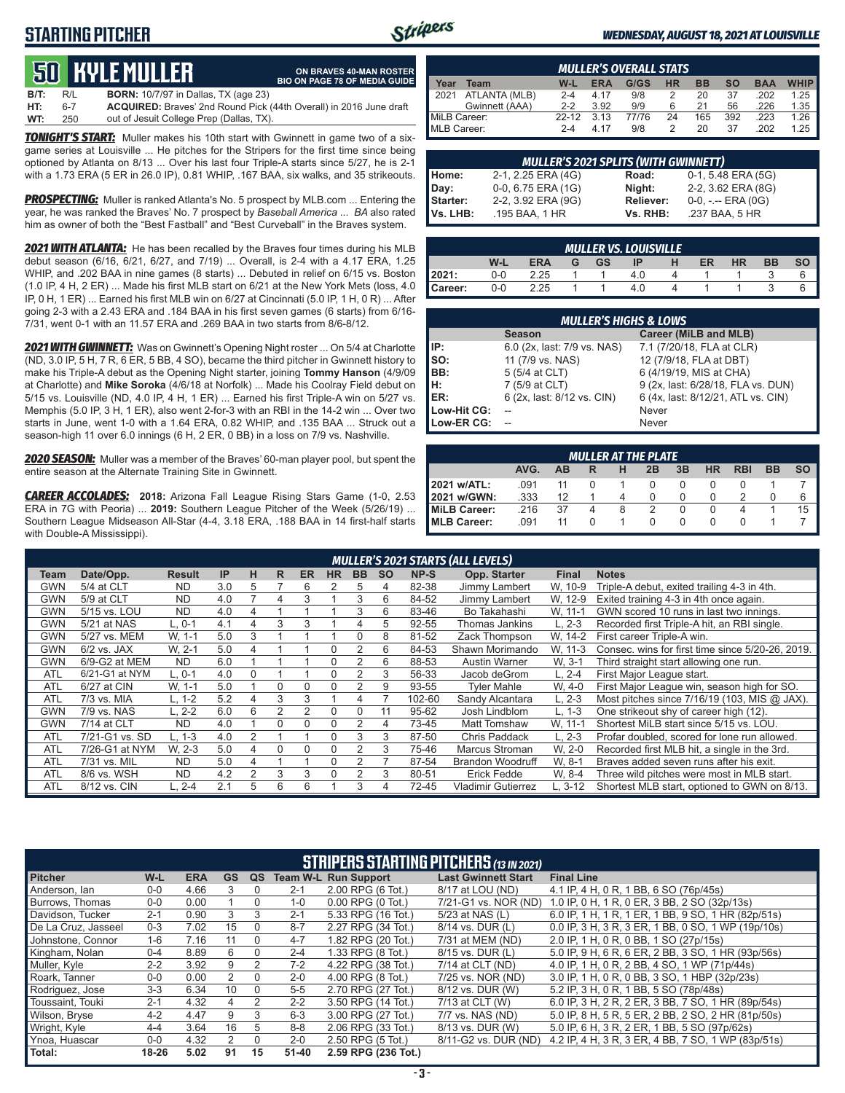### **STARTING PITCHER**



**ON BRAVES 40-MAN ROSTER BIO ON PAGE 78 OF MEDIA GUIDE**

#### *WEDNESDAY, AUGUST 18, 2021 AT LOUISVILLE*

# **50****KYLE MULLER**

**B/T:** R/L **BORN:** 10/7/97 in Dallas, TX (age 23) **HT:** 6-7 **ACQUIRED:** Braves' 2nd Round Pick (44th Overall) in 2016 June draft out of Jesuit College Prep (Dallas, TX)

*TONIGHT'S START:* Muller makes his 10th start with Gwinnett in game two of a sixgame series at Louisville ... He pitches for the Stripers for the first time since being optioned by Atlanta on 8/13 ... Over his last four Triple-A starts since 5/27, he is 2-1 with a 1.73 ERA (5 ER in 26.0 IP), 0.81 WHIP, .167 BAA, six walks, and 35 strikeouts.

*PROSPECTING:* Muller is ranked Atlanta's No. 5 prospect by MLB.com ... Entering the year, he was ranked the Braves' No. 7 prospect by *Baseball America* ... *BA* also rated him as owner of both the "Best Fastball" and "Best Curveball" in the Braves system.

*2021 WITH ATLANTA:* He has been recalled by the Braves four times during his MLB debut season (6/16, 6/21, 6/27, and 7/19) ... Overall, is 2-4 with a 4.17 ERA, 1.25 WHIP, and .202 BAA in nine games (8 starts) ... Debuted in relief on 6/15 vs. Boston (1.0 IP, 4 H, 2 ER) ... Made his first MLB start on 6/21 at the New York Mets (loss, 4.0 IP, 0 H, 1 ER) ... Earned his first MLB win on 6/27 at Cincinnati (5.0 IP, 1 H, 0 R) ... After going 2-3 with a 2.43 ERA and .184 BAA in his first seven games (6 starts) from 6/16- 7/31, went 0-1 with an 11.57 ERA and .269 BAA in two starts from 8/6-8/12.

*2021 WITH GWINNETT:* Was on Gwinnett's Opening Night roster ... On 5/4 at Charlotte (ND, 3.0 IP, 5 H, 7 R, 6 ER, 5 BB, 4 SO), became the third pitcher in Gwinnett history to make his Triple-A debut as the Opening Night starter, joining **Tommy Hanson** (4/9/09 at Charlotte) and **Mike Soroka** (4/6/18 at Norfolk) ... Made his Coolray Field debut on 5/15 vs. Louisville (ND, 4.0 IP, 4 H, 1 ER) ... Earned his first Triple-A win on 5/27 vs. Memphis (5.0 IP, 3 H, 1 ER), also went 2-for-3 with an RBI in the 14-2 win ... Over two starts in June, went 1-0 with a 1.64 ERA, 0.82 WHIP, and .135 BAA ... Struck out a season-high 11 over 6.0 innings (6 H, 2 ER, 0 BB) in a loss on 7/9 vs. Nashville.

*2020 SEASON:* Muller was a member of the Braves' 60-man player pool, but spent the entire season at the Alternate Training Site in Gwinnett.

*CAREER ACCOLADES:* **2018:** Arizona Fall League Rising Stars Game (1-0, 2.53 ERA in 7G with Peoria) ... **2019:** Southern League Pitcher of the Week (5/26/19) ... Southern League Midseason All-Star (4-4, 3.18 ERA, .188 BAA in 14 first-half starts with Double-A Mississippi).

|              | <b>MULLER'S OVERALL STATS</b>                                                                         |         |      |       |    |     |     |      |      |  |  |  |  |  |  |
|--------------|-------------------------------------------------------------------------------------------------------|---------|------|-------|----|-----|-----|------|------|--|--|--|--|--|--|
| Year         | <b>WHIP</b><br><b>HR</b><br>G/GS<br><b>BB</b><br>W-L<br><b>ERA</b><br><b>SO</b><br><b>BAA</b><br>Team |         |      |       |    |     |     |      |      |  |  |  |  |  |  |
| 12021        | ATLANTA (MLB)                                                                                         | $2 - 4$ | 4 17 | 9/8   |    | 20  | 37  | .202 | 1.25 |  |  |  |  |  |  |
|              | Gwinnett (AAA)                                                                                        | $2-2$   | 3.92 | 9/9   | 6  | 21  | 56  | .226 | 1.35 |  |  |  |  |  |  |
| MiLB Career: |                                                                                                       | $22-12$ | 3.13 | 77/76 | 24 | 165 | 392 | .223 | 1.26 |  |  |  |  |  |  |
| MLB Career:  |                                                                                                       | $2 - 4$ | 4 17 | 9/8   |    | 20  | 37  | .202 | 1.25 |  |  |  |  |  |  |

|                             | <b>MULLER'S 2021 SPLITS (WITH GWINNETT)</b> |                              |                                         |  |  |  |  |  |  |  |  |  |  |
|-----------------------------|---------------------------------------------|------------------------------|-----------------------------------------|--|--|--|--|--|--|--|--|--|--|
| Home:                       | 2-1, 2.25 ERA (4G)                          | Road:                        | 0-1, 5.48 ERA (5G)                      |  |  |  |  |  |  |  |  |  |  |
| Day:                        | 0-0, 6.75 ERA (1G)                          | Night:                       | 2-2, 3.62 ERA (8G)                      |  |  |  |  |  |  |  |  |  |  |
| <b>Starter:</b><br>Vs. LHB: | 2-2, 3.92 ERA (9G)<br>.195 BAA, 1 HR        | <b>Reliever:</b><br>Vs. RHB: | $0-0, - -$ ERA $(0G)$<br>.237 BAA, 5 HR |  |  |  |  |  |  |  |  |  |  |
|                             |                                             |                              |                                         |  |  |  |  |  |  |  |  |  |  |

|         | MULLER VS. LOUISVILLE                                                   |      |  |  |     |  |  |  |  |  |  |  |  |  |  |
|---------|-------------------------------------------------------------------------|------|--|--|-----|--|--|--|--|--|--|--|--|--|--|
|         | W-L<br><b>ERA</b><br>HR<br><b>GS</b><br><b>BB</b><br>ER<br>IP<br>G<br>н |      |  |  |     |  |  |  |  |  |  |  |  |  |  |
| 12021:  | 0-0                                                                     | 2.25 |  |  | 4.0 |  |  |  |  |  |  |  |  |  |  |
| Career: | 0-0                                                                     | 2.25 |  |  | 4.0 |  |  |  |  |  |  |  |  |  |  |

|             | <b>MULLER'S HIGHS &amp; LOWS</b> |                                    |  |  |  |  |  |  |  |  |  |  |
|-------------|----------------------------------|------------------------------------|--|--|--|--|--|--|--|--|--|--|
|             | <b>Season</b>                    | Career (MiLB and MLB)              |  |  |  |  |  |  |  |  |  |  |
| IIP:        | 6.0 (2x, last: 7/9 vs. NAS)      | 7.1 (7/20/18, FLA at CLR)          |  |  |  |  |  |  |  |  |  |  |
| $\vert$ so: | 11 (7/9 vs. NAS)                 | 12 (7/9/18, FLA at DBT)            |  |  |  |  |  |  |  |  |  |  |
| BB:         | 5 (5/4 at CLT)                   | 6 (4/19/19, MIS at CHA)            |  |  |  |  |  |  |  |  |  |  |
| Iн:         | 7 (5/9 at CLT)                   | 9 (2x, last: 6/28/18, FLA vs. DUN) |  |  |  |  |  |  |  |  |  |  |
| <b>IER:</b> | 6 (2x, last: 8/12 vs. CIN)       | 6 (4x, last: 8/12/21, ATL vs. CIN) |  |  |  |  |  |  |  |  |  |  |
| Low-Hit CG: |                                  | Never                              |  |  |  |  |  |  |  |  |  |  |
| Low-ER CG:  |                                  | Never                              |  |  |  |  |  |  |  |  |  |  |

|                      | <b>MULLER AT THE PLATE</b>                                                     |    |  |  |  |  |          |  |  |   |  |  |  |  |  |
|----------------------|--------------------------------------------------------------------------------|----|--|--|--|--|----------|--|--|---|--|--|--|--|--|
|                      | AVG.<br><b>RBI</b><br><b>BB</b><br>3B<br><b>HR</b><br>2B<br>AB<br>н<br>SΟ<br>R |    |  |  |  |  |          |  |  |   |  |  |  |  |  |
| 2021 w/ATL:          | .091                                                                           |    |  |  |  |  |          |  |  |   |  |  |  |  |  |
| 2021 w/GWN:          | .333                                                                           | 12 |  |  |  |  | $\Omega$ |  |  | 6 |  |  |  |  |  |
| <b>IMILB Career:</b> | 15<br>.216<br>37<br>O<br>8<br>4                                                |    |  |  |  |  |          |  |  |   |  |  |  |  |  |
| <b>IMLB Career:</b>  | .091                                                                           | 11 |  |  |  |  | $\Omega$ |  |  |   |  |  |  |  |  |

|            | <b>MULLER'S 2021 STARTS (ALL LEVELS)</b>                                                                                                                |           |     |                |   |   |          |   |    |        |                         |          |                                                  |  |  |
|------------|---------------------------------------------------------------------------------------------------------------------------------------------------------|-----------|-----|----------------|---|---|----------|---|----|--------|-------------------------|----------|--------------------------------------------------|--|--|
| Team       | н<br>IP<br><b>BB</b><br>NP-S<br>Opp. Starter<br>Date/Opp.<br><b>Result</b><br>R.<br><b>HR</b><br><b>SO</b><br><b>Notes</b><br><b>ER</b><br><b>Final</b> |           |     |                |   |   |          |   |    |        |                         |          |                                                  |  |  |
| GWN        | 5/4 at CLT                                                                                                                                              | <b>ND</b> | 3.0 | 5              |   | 6 | 2        | 5 | 4  | 82-38  | Jimmy Lambert           | W. 10-9  | Triple-A debut, exited trailing 4-3 in 4th.      |  |  |
| GWN        | 5/9 at CLT                                                                                                                                              | <b>ND</b> | 4.0 |                | 4 | 3 |          | 3 | 6  | 84-52  | Jimmy Lambert           | W. 12-9  | Exited training 4-3 in 4th once again.           |  |  |
| <b>GWN</b> | 5/15 vs. LOU                                                                                                                                            | <b>ND</b> | 4.0 | 4              |   |   |          | 3 | 6  | 83-46  | Bo Takahashi            | W. 11-1  | GWN scored 10 runs in last two innings.          |  |  |
| GWN        | 5/21 at NAS                                                                                                                                             | L. 0-1    | 4.1 | 4              | 3 | З |          | 4 | 5  | 92-55  | Thomas Jankins          | $L. 2-3$ | Recorded first Triple-A hit, an RBI single.      |  |  |
| GWN        | 5/27 vs. MEM                                                                                                                                            | W, 1-1    | 5.0 | 3              |   |   |          | 0 | 8  | 81-52  | Zack Thompson           | W. 14-2  | First career Triple-A win.                       |  |  |
| GWN        | $6/2$ vs. JAX                                                                                                                                           | W. 2-1    | 5.0 | 4              |   |   | $\Omega$ | 2 | 6  | 84-53  | Shawn Morimando         | W, 11-3  | Consec. wins for first time since 5/20-26, 2019. |  |  |
| GWN        | 6/9-G2 at MEM                                                                                                                                           | ND.       | 6.0 |                |   |   |          |   | 6  | 88-53  | Austin Warner           | W. 3-1   | Third straight start allowing one run.           |  |  |
| <b>ATL</b> | 6/21-G1 at NYM                                                                                                                                          | L. 0-1    | 4.0 | 0              |   |   |          |   | 3  | 56-33  | Jacob deGrom            | L, 2-4   | First Major League start.                        |  |  |
| <b>ATL</b> | 6/27 at CIN                                                                                                                                             | W, 1-1    | 5.0 |                | 0 | U |          |   | 9  | 93-55  | <b>Tyler Mahle</b>      | W, 4-0   | First Major League win, season high for SO.      |  |  |
| <b>ATL</b> | 7/3 vs. MIA                                                                                                                                             | L. 1-2    | 5.2 | 4              | 3 | 3 |          | 4 |    | 102-60 | Sandy Alcantara         | $L, 2-3$ | Most pitches since $7/16/19$ (103, MIS @ JAX).   |  |  |
| GWN        | 7/9 vs. NAS                                                                                                                                             | L. 2-2    | 6.0 | 6              | 2 | 2 | 0        | U | 11 | 95-62  | Josh Lindblom           | $L, 1-3$ | One strikeout shy of career high (12).           |  |  |
| GWN        | 7/14 at CLT                                                                                                                                             | <b>ND</b> | 4.0 |                | 0 | C | $\Omega$ |   | 4  | 73-45  | Matt Tomshaw            | W. 11-1  | Shortest MiLB start since 5/15 vs. LOU.          |  |  |
| <b>ATL</b> | 7/21-G1 vs. SD                                                                                                                                          | L. 1-3    | 4.0 | $\overline{2}$ |   |   |          | 3 | 3  | 87-50  | Chris Paddack           | L. 2-3   | Profar doubled, scored for lone run allowed.     |  |  |
| <b>ATL</b> | 7/26-G1 at NYM                                                                                                                                          | W. 2-3    | 5.0 | 4              | 0 | U | $\Omega$ |   | 3  | 75-46  | Marcus Stroman          | W. 2-0   | Recorded first MLB hit, a single in the 3rd.     |  |  |
| <b>ATL</b> | 7/31 vs. MIL                                                                                                                                            | <b>ND</b> | 5.0 | 4              |   |   | $\Omega$ |   |    | 87-54  | <b>Brandon Woodruff</b> | W. 8-1   | Braves added seven runs after his exit.          |  |  |
| <b>ATL</b> | 8/6 vs. WSH                                                                                                                                             | <b>ND</b> | 4.2 | $\overline{2}$ | 3 | 3 | $\Omega$ |   | 3  | 80-51  | Erick Fedde             | W. 8-4   | Three wild pitches were most in MLB start.       |  |  |
| <b>ATL</b> | 8/12 vs. CIN                                                                                                                                            | L. 2-4    | 2.1 | 5              | 6 | 6 |          | 3 | 4  | 72-45  | Vladimir Gutierrez      | L. 3-12  | Shortest MLB start, optioned to GWN on 8/13.     |  |  |

|                     | <b>STRIPERS STARTING PITCHERS (13 IN 2021)</b> |            |           |               |           |                             |                            |                                                    |  |  |  |  |  |  |
|---------------------|------------------------------------------------|------------|-----------|---------------|-----------|-----------------------------|----------------------------|----------------------------------------------------|--|--|--|--|--|--|
| <b>Pitcher</b>      | $W-L$                                          | <b>ERA</b> | <b>GS</b> | QS            |           | <b>Team W-L Run Support</b> | <b>Last Gwinnett Start</b> | <b>Final Line</b>                                  |  |  |  |  |  |  |
| Anderson, Ian       | $0-0$                                          | 4.66       | 3         |               | $2 - 1$   | 2.00 RPG (6 Tot.)           | 8/17 at LOU (ND)           | 4.1 IP, 4 H, 0 R, 1 BB, 6 SO (76p/45s)             |  |  |  |  |  |  |
| Burrows, Thomas     | $0-0$                                          | 0.00       |           | 0             | $1 - 0$   | $0.00$ RPG $(0$ Tot.)       | 7/21-G1 vs. NOR (ND)       | 1.0 IP, 0 H, 1 R, 0 ER, 3 BB, 2 SO (32p/13s)       |  |  |  |  |  |  |
| Davidson, Tucker    | $2 - 1$                                        | 0.90       | 3         | 3             | $2 - 1$   | 5.33 RPG (16 Tot.)          | 5/23 at NAS (L)            | 6.0 IP, 1 H, 1 R, 1 ER, 1 BB, 9 SO, 1 HR (82p/51s) |  |  |  |  |  |  |
| De La Cruz, Jasseel | $0 - 3$                                        | 7.02       | 15        | $\Omega$      | $8 - 7$   | 2.27 RPG (34 Tot.)          | 8/14 vs. DUR (L)           | 0.0 IP, 3 H, 3 R, 3 ER, 1 BB, 0 SO, 1 WP (19p/10s) |  |  |  |  |  |  |
| Johnstone, Connor   | $1 - 6$                                        | 7.16       | 11        | $\Omega$      | $4 - 7$   | 1.82 RPG (20 Tot.)          | 7/31 at MEM (ND)           | 2.0 IP, 1 H, 0 R, 0 BB, 1 SO (27p/15s)             |  |  |  |  |  |  |
| Kingham, Nolan      | $0 - 4$                                        | 8.89       | 6         | 0             | $2 - 4$   | 1.33 RPG (8 Tot.)           | 8/15 vs. DUR (L)           | 5.0 IP, 9 H, 6 R, 6 ER, 2 BB, 3 SO, 1 HR (93p/56s) |  |  |  |  |  |  |
| Muller, Kyle        | $2 - 2$                                        | 3.92       | 9         | 2             | $7 - 2$   | 4.22 RPG (38 Tot.)          | 7/14 at CLT (ND)           | 4.0 IP. 1 H, 0 R, 2 BB, 4 SO, 1 WP (71p/44s)       |  |  |  |  |  |  |
| Roark, Tanner       | $0 - 0$                                        | 0.00       | 2         | $\Omega$      | $2 - 0$   | 4.00 RPG (8 Tot.)           | 7/25 vs. NOR (ND)          | 3.0 IP, 1 H, 0 R, 0 BB, 3 SO, 1 HBP (32p/23s)      |  |  |  |  |  |  |
| Rodriguez, Jose     | $3-3$                                          | 6.34       | 10        | $\Omega$      | $5 - 5$   | 2.70 RPG (27 Tot.)          | 8/12 vs. DUR (W)           | 5.2 IP, 3 H, 0 R, 1 BB, 5 SO (78p/48s)             |  |  |  |  |  |  |
| Toussaint, Touki    | $2 - 1$                                        | 4.32       | 4         | $\mathcal{P}$ | $2 - 2$   | 3.50 RPG (14 Tot.)          | 7/13 at CLT (W)            | 6.0 IP, 3 H, 2 R, 2 ER, 3 BB, 7 SO, 1 HR (89p/54s) |  |  |  |  |  |  |
| Wilson, Bryse       | $4 - 2$                                        | 4.47       | 9         | 3             | $6 - 3$   | 3.00 RPG (27 Tot.)          | 7/7 vs. NAS (ND)           | 5.0 IP, 8 H, 5 R, 5 ER, 2 BB, 2 SO, 2 HR (81p/50s) |  |  |  |  |  |  |
| Wright, Kyle        | $4 - 4$                                        | 3.64       | 16        | 5             | $8 - 8$   | 2.06 RPG (33 Tot.)          | 8/13 vs. DUR (W)           | 5.0 IP, 6 H, 3 R, 2 ER, 1 BB, 5 SO (97p/62s)       |  |  |  |  |  |  |
| Ynoa, Huascar       | $0 - 0$                                        | 4.32       | 2         | $\Omega$      | $2 - 0$   | 2.50 RPG (5 Tot.)           | 8/11-G2 vs. DUR (ND)       | 4.2 IP, 4 H, 3 R, 3 ER, 4 BB, 7 SO, 1 WP (83p/51s) |  |  |  |  |  |  |
| Total:              | 18-26                                          | 5.02       | 91        | 15            | $51 - 40$ | 2.59 RPG (236 Tot.)         |                            |                                                    |  |  |  |  |  |  |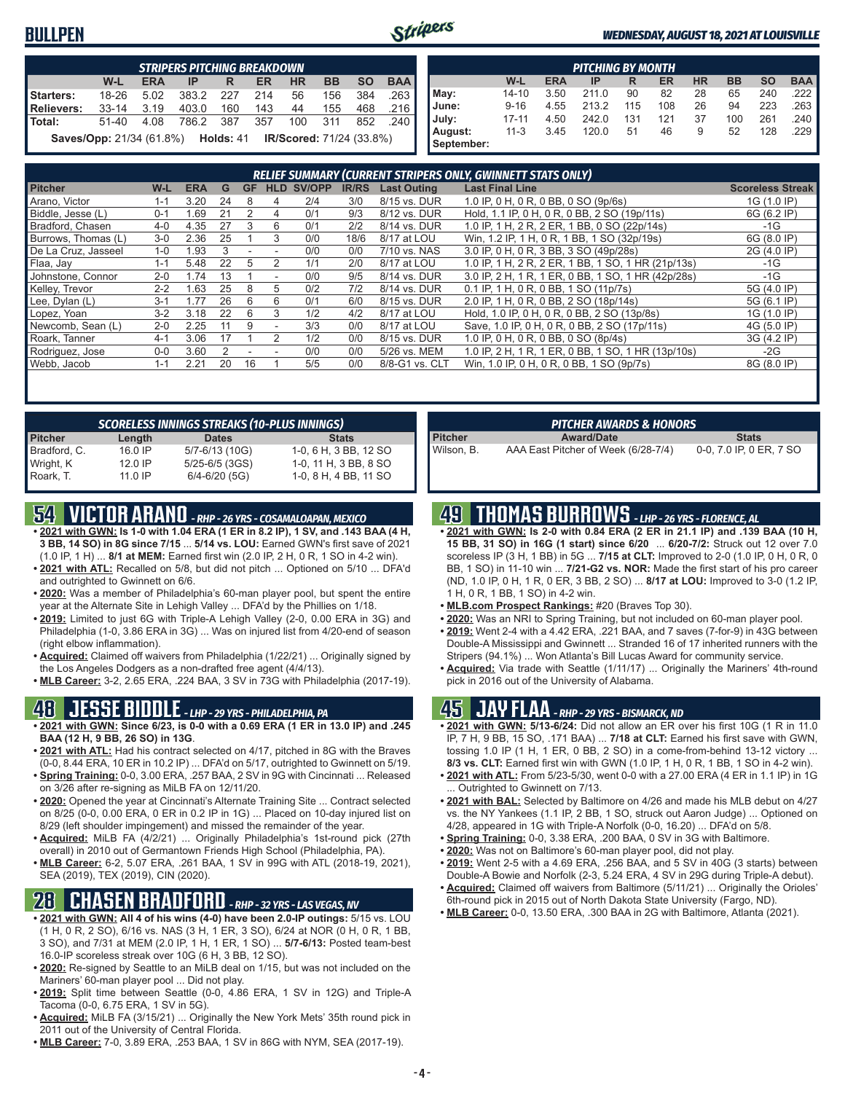#### **BULLPEN**



#### *WEDNESDAY, AUGUST 18, 2021 AT LOUISVILLE*

|                                                                               | <b>STRIPERS PITCHING BREAKDOWN</b>                                                             |      |       |      |     |                                 |     |     |        |  |  |  |  |  |  |
|-------------------------------------------------------------------------------|------------------------------------------------------------------------------------------------|------|-------|------|-----|---------------------------------|-----|-----|--------|--|--|--|--|--|--|
|                                                                               | <b>BAA</b><br><b>BB</b><br><b>SO</b><br>W-L<br><b>ERA</b><br><b>HR</b><br><b>ER</b><br>IP<br>R |      |       |      |     |                                 |     |     |        |  |  |  |  |  |  |
| Starters:<br>383.2<br>18-26<br>56<br>384<br>5.02<br>227<br>214<br>.263<br>156 |                                                                                                |      |       |      |     |                                 |     |     |        |  |  |  |  |  |  |
| <b>Relievers:</b>                                                             | $33 - 14$                                                                                      | 3.19 | 403.0 | 160  | 143 | 44                              | 155 | 468 | .216   |  |  |  |  |  |  |
| Total:                                                                        | $51 - 40$                                                                                      | 4.08 | 786.2 | -387 | 357 | 100                             | 311 | 852 | -240 I |  |  |  |  |  |  |
|                                                                               | <b>Saves/Opp:</b> 21/34 (61.8%) <b>Holds:</b> 41                                               |      |       |      |     | <b>IR/Scored:</b> 71/24 (33.8%) |     |     |        |  |  |  |  |  |  |

|            | <b>PITCHING BY MONTH</b>                                                                |      |       |     |     |    |     |     |     |  |  |  |  |  |  |
|------------|-----------------------------------------------------------------------------------------|------|-------|-----|-----|----|-----|-----|-----|--|--|--|--|--|--|
|            | W-L<br><b>HR</b><br><b>BB</b><br><b>SO</b><br><b>BAA</b><br><b>ERA</b><br>ER<br>IP<br>R |      |       |     |     |    |     |     |     |  |  |  |  |  |  |
| May:       | $14 - 10$                                                                               | 3.50 | 211.0 | 90  | 82  | 28 | 65  | 240 | 222 |  |  |  |  |  |  |
| June:      | $9 - 16$<br>213.2<br>223<br>263<br>4.55<br>108<br>26<br>115<br>94                       |      |       |     |     |    |     |     |     |  |  |  |  |  |  |
| July:      | $17 - 11$                                                                               | 4.50 | 242.0 | 131 | 121 | 37 | 100 | 261 | 240 |  |  |  |  |  |  |
| August:    | $11 - 3$                                                                                | 3.45 | 120.0 | 51  | 46  | 9  | 52  | 128 | 229 |  |  |  |  |  |  |
| September: |                                                                                         |      |       |     |     |    |     |     |     |  |  |  |  |  |  |

| <b>RELIEF SUMMARY (CURRENT STRIPERS ONLY, GWINNETT STATS ONLY)</b> |         |            |    |    |                          |        |              |                    |                                                    |                         |
|--------------------------------------------------------------------|---------|------------|----|----|--------------------------|--------|--------------|--------------------|----------------------------------------------------|-------------------------|
| <b>Pitcher</b>                                                     | W-L     | <b>ERA</b> | G  | GF | <b>HLD</b>               | SV/OPP | <b>IR/RS</b> | <b>Last Outing</b> | <b>Last Final Line</b>                             | <b>Scoreless Streak</b> |
| Arano, Victor                                                      | 1-1     | 3.20       | 24 | 8  | 4                        | 2/4    | 3/0          | 8/15 vs. DUR       | 1.0 IP, 0 H, 0 R, 0 BB, 0 SO (9p/6s)               | 1G (1.0 IP)             |
| Biddle, Jesse (L)                                                  | $0 - 1$ | 1.69       | 21 |    | 4                        | 0/1    | 9/3          | 8/12 vs. DUR       | Hold, 1.1 IP, 0 H, 0 R, 0 BB, 2 SO (19p/11s)       | 6G (6.2 IP)             |
| Bradford, Chasen                                                   | $4 - 0$ | 4.35       | 27 | 3  | 6                        | 0/1    | 2/2          | 8/14 vs. DUR       | 1.0 IP, 1 H, 2 R, 2 ER, 1 BB, 0 SO (22p/14s)       | -1G                     |
| Burrows, Thomas (L)                                                | $3-0$   | 2.36       | 25 |    | 3                        | 0/0    | 18/6         | 8/17 at LOU        | Win, 1.2 IP, 1 H, 0 R, 1 BB, 1 SO (32p/19s)        | 6G (8.0 IP)             |
| De La Cruz, Jasseel                                                | $1 - 0$ | .93        |    |    |                          | 0/0    | 0/0          | 7/10 vs. NAS       | 3.0 IP, 0 H, 0 R, 3 BB, 3 SO (49p/28s)             | 2G (4.0 IP)             |
| Flaa, Jay                                                          | $1 - 1$ | 5.48       | 22 | b  |                          | 1/1    | 2/0          | 8/17 at LOU        | 1.0 IP, 1 H, 2 R, 2 ER, 1 BB, 1 SO, 1 HR (21p/13s) | $-1G$                   |
| Johnstone, Connor                                                  | $2 - 0$ | 1.74       | 13 |    | $\overline{\phantom{a}}$ | 0/0    | 9/5          | 8/14 vs. DUR       | 3.0 IP. 2 H. 1 R. 1 ER. 0 BB. 1 SO. 1 HR (42p/28s) | $-1G$                   |
| Kelley, Trevor                                                     | $2 - 2$ | 1.63       | 25 | 8  | 5                        | 0/2    | 7/2          | 8/14 vs. DUR       | 0.1 IP, 1 H, 0 R, 0 BB, 1 SO (11p/7s)              | 5G (4.0 IP)             |
| Lee, Dylan (L)                                                     | $3 - 1$ | 1.77       | 26 | 6  | 6                        | 0/1    | 6/0          | 8/15 vs. DUR       | 2.0 IP, 1 H, 0 R, 0 BB, 2 SO (18p/14s)             | 5G (6.1 IP)             |
| Lopez, Yoan                                                        | $3-2$   | 3.18       | 22 | 6  | 3                        | 1/2    | 4/2          | 8/17 at LOU        | Hold, 1.0 IP, 0 H, 0 R, 0 BB, 2 SO (13p/8s)        | 1G (1.0 IP)             |
| Newcomb, Sean (L)                                                  | $2 - 0$ | 2.25       |    | 9  | ۰                        | 3/3    | 0/0          | 8/17 at LOU        | Save, 1.0 IP, 0 H, 0 R, 0 BB, 2 SO (17p/11s)       | 4G (5.0 IP)             |
| Roark, Tanner                                                      | $4 - 1$ | 3.06       | 17 |    | $\mathfrak{p}$           | 1/2    | 0/0          | 8/15 vs. DUR       | 1.0 IP, 0 H, 0 R, 0 BB, 0 SO (8p/4s)               | 3G (4.2 IP)             |
| Rodriguez, Jose                                                    | $0 - 0$ | 3.60       |    |    |                          | 0/0    | 0/0          | 5/26 vs. MEM       | 1.0 IP, 2 H, 1 R, 1 ER, 0 BB, 1 SO, 1 HR (13p/10s) | $-2G$                   |
| Webb, Jacob                                                        | $1 - 1$ | 2.21       | 20 | 16 |                          | 5/5    | 0/0          | 8/8-G1 vs. CLT     | Win, 1.0 IP, 0 H, 0 R, 0 BB, 1 SO (9p/7s)          | 8G (8.0 IP)             |

| <b>SCORELESS INNINGS STREAKS (10-PLUS INNINGS)</b> |                    |                       |  |  |  |  |  |  |
|----------------------------------------------------|--------------------|-----------------------|--|--|--|--|--|--|
| Length                                             | <b>Dates</b>       | <b>Stats</b>          |  |  |  |  |  |  |
| $16.0$ IP                                          | 5/7-6/13 (10G)     | 1-0, 6 H, 3 BB, 12 SO |  |  |  |  |  |  |
| $12.0$ IP                                          | $5/25 - 6/5$ (3GS) | 1-0, 11 H, 3 BB, 8 SO |  |  |  |  |  |  |
| $11.0$ IP                                          | $6/4 - 6/20$ (5G)  | 1-0, 8 H, 4 BB, 11 SO |  |  |  |  |  |  |
|                                                    |                    |                       |  |  |  |  |  |  |

# **54 VICTOR ARANO** *- RHP - 26 YRS - COSAMALOAPAN, MEXICO*

- **• 2021 with GWN: Is 1-0 with 1.04 ERA (1 ER in 8.2 IP), 1 SV, and .143 BAA (4 H, 3 BB, 14 SO) in 8G since 7/15** ... **5/14 vs. LOU:** Earned GWN's first save of 2021 (1.0 IP, 1 H) ... **8/1 at MEM:** Earned first win (2.0 IP, 2 H, 0 R, 1 SO in 4-2 win).
- **• 2021 with ATL:** Recalled on 5/8, but did not pitch ... Optioned on 5/10 ... DFA'd and outrighted to Gwinnett on 6/6.
- **• 2020:** Was a member of Philadelphia's 60-man player pool, but spent the entire year at the Alternate Site in Lehigh Valley ... DFA'd by the Phillies on 1/18.
- **• 2019:** Limited to just 6G with Triple-A Lehigh Valley (2-0, 0.00 ERA in 3G) and Philadelphia (1-0, 3.86 ERA in 3G) ... Was on injured list from 4/20-end of season (right elbow inflammation).
- **• Acquired:** Claimed off waivers from Philadelphia (1/22/21) ... Originally signed by the Los Angeles Dodgers as a non-drafted free agent (4/4/13).
- **• MLB Career:** 3-2, 2.65 ERA, .224 BAA, 3 SV in 73G with Philadelphia (2017-19).

#### **48 JESSE BIDDLE** *- LHP - 29 YRS - PHILADELPHIA, PA*

- **• 2021 with GWN: Since 6/23, is 0-0 with a 0.69 ERA (1 ER in 13.0 IP) and .245 BAA (12 H, 9 BB, 26 SO) in 13G**.
- **• 2021 with ATL:** Had his contract selected on 4/17, pitched in 8G with the Braves (0-0, 8.44 ERA, 10 ER in 10.2 IP) ... DFA'd on 5/17, outrighted to Gwinnett on 5/19. **• Spring Training:** 0-0, 3.00 ERA, .257 BAA, 2 SV in 9G with Cincinnati ... Released
- on 3/26 after re-signing as MiLB FA on 12/11/20. **• 2020:** Opened the year at Cincinnati's Alternate Training Site ... Contract selected
- on 8/25 (0-0, 0.00 ERA, 0 ER in 0.2 IP in 1G) ... Placed on 10-day injured list on 8/29 (left shoulder impingement) and missed the remainder of the year.
- **• Acquired:** MiLB FA (4/2/21) ... Originally Philadelphia's 1st-round pick (27th overall) in 2010 out of Germantown Friends High School (Philadelphia, PA).
- **• MLB Career:** 6-2, 5.07 ERA, .261 BAA, 1 SV in 99G with ATL (2018-19, 2021), SEA (2019), TEX (2019), CIN (2020).

### **28 CHASEN BRADFORD** *- RHP - 32 YRS - LAS VEGAS, NV*

- **• 2021 with GWN: All 4 of his wins (4-0) have been 2.0-IP outings:** 5/15 vs. LOU (1 H, 0 R, 2 SO), 6/16 vs. NAS (3 H, 1 ER, 3 SO), 6/24 at NOR (0 H, 0 R, 1 BB, 3 SO), and 7/31 at MEM (2.0 IP, 1 H, 1 ER, 1 SO) ... **5/7-6/13:** Posted team-best 16.0-IP scoreless streak over 10G (6 H, 3 BB, 12 SO).
- **• 2020:** Re-signed by Seattle to an MiLB deal on 1/15, but was not included on the Mariners' 60-man player pool ... Did not play.
- **• 2019:** Split time between Seattle (0-0, 4.86 ERA, 1 SV in 12G) and Triple-A Tacoma (0-0, 6.75 ERA, 1 SV in 5G).
- **• Acquired:** MiLB FA (3/15/21) ... Originally the New York Mets' 35th round pick in 2011 out of the University of Central Florida.
- **• MLB Career:** 7-0, 3.89 ERA, .253 BAA, 1 SV in 86G with NYM, SEA (2017-19).

| <b>PITCHER AWARDS &amp; HONORS</b> |                                     |                         |  |  |  |  |  |
|------------------------------------|-------------------------------------|-------------------------|--|--|--|--|--|
| Pitcher                            | <b>Award/Date</b>                   | <b>Stats</b>            |  |  |  |  |  |
| Wilson, B.                         | AAA East Pitcher of Week (6/28-7/4) | 0-0, 7.0 IP, 0 ER, 7 SO |  |  |  |  |  |

### **49 THOMAS BURROWS** *- LHP - 26 YRS - FLORENCE, AL*

- **• 2021 with GWN: Is 2-0 with 0.84 ERA (2 ER in 21.1 IP) and .139 BAA (10 H, 15 BB, 31 SO) in 16G (1 start) since 6/20** ... **6/20-7/2:** Struck out 12 over 7.0 scoreless IP (3 H, 1 BB) in 5G ... **7/15 at CLT:** Improved to 2-0 (1.0 IP, 0 H, 0 R, 0 BB, 1 SO) in 11-10 win ... **7/21-G2 vs. NOR:** Made the first start of his pro career (ND, 1.0 IP, 0 H, 1 R, 0 ER, 3 BB, 2 SO) ... **8/17 at LOU:** Improved to 3-0 (1.2 IP, 1 H, 0 R, 1 BB, 1 SO) in 4-2 win.
- **• MLB.com Prospect Rankings:** #20 (Braves Top 30).
- **• 2020:** Was an NRI to Spring Training, but not included on 60-man player pool.
- **• 2019:** Went 2-4 with a 4.42 ERA, .221 BAA, and 7 saves (7-for-9) in 43G between Double-A Mississippi and Gwinnett ... Stranded 16 of 17 inherited runners with the Stripers (94.1%) ... Won Atlanta's Bill Lucas Award for community service.
- **• Acquired:** Via trade with Seattle (1/11/17) ... Originally the Mariners' 4th-round pick in 2016 out of the University of Alabama.

#### **45 JAY FLAA** *- RHP - 29 YRS - BISMARCK, ND*

- **• 2021 with GWN: 5/13-6/24:** Did not allow an ER over his first 10G (1 R in 11.0 IP, 7 H, 9 BB, 15 SO, .171 BAA) ... **7/18 at CLT:** Earned his first save with GWN, tossing 1.0 IP (1 H, 1 ER, 0 BB, 2 SO) in a come-from-behind 13-12 victory ... **8/3 vs. CLT:** Earned first win with GWN (1.0 IP, 1 H, 0 R, 1 BB, 1 SO in 4-2 win).
- **• 2021 with ATL:** From 5/23-5/30, went 0-0 with a 27.00 ERA (4 ER in 1.1 IP) in 1G Outrighted to Gwinnett on 7/13.
- **• 2021 with BAL:** Selected by Baltimore on 4/26 and made his MLB debut on 4/27 vs. the NY Yankees (1.1 IP, 2 BB, 1 SO, struck out Aaron Judge) ... Optioned on 4/28, appeared in 1G with Triple-A Norfolk (0-0, 16.20) ... DFA'd on 5/8.
- **• Spring Training:** 0-0, 3.38 ERA, .200 BAA, 0 SV in 3G with Baltimore.
- **• 2020:** Was not on Baltimore's 60-man player pool, did not play.
- **• 2019:** Went 2-5 with a 4.69 ERA, .256 BAA, and 5 SV in 40G (3 starts) between Double-A Bowie and Norfolk (2-3, 5.24 ERA, 4 SV in 29G during Triple-A debut).
- **• Acquired:** Claimed off waivers from Baltimore (5/11/21) ... Originally the Orioles' 6th-round pick in 2015 out of North Dakota State University (Fargo, ND).
- **• MLB Career:** 0-0, 13.50 ERA, .300 BAA in 2G with Baltimore, Atlanta (2021).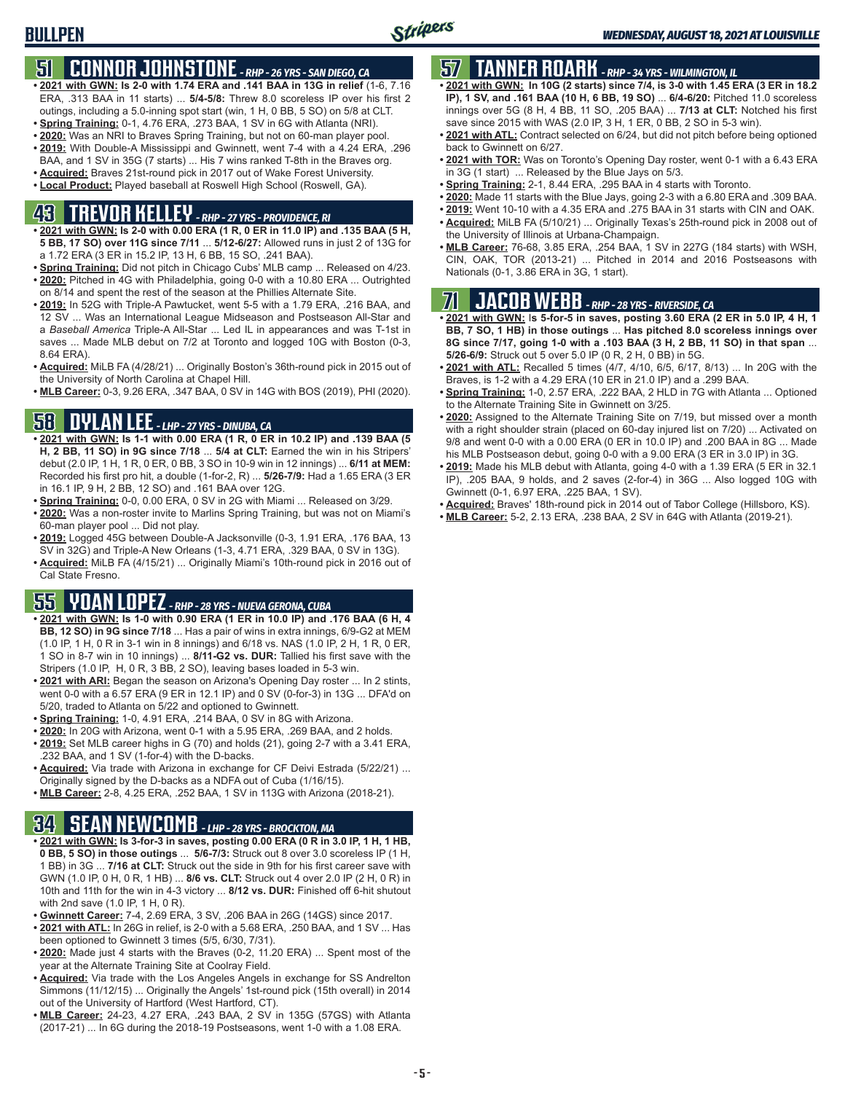### **51 CONNOR JOHNSTONE** *- RHP - 26 YRS - SAN DIEGO, CA*

- **• 2021 with GWN: Is 2-0 with 1.74 ERA and .141 BAA in 13G in relief** (1-6, 7.16 ERA, .313 BAA in 11 starts) ... **5/4-5/8:** Threw 8.0 scoreless IP over his first 2 outings, including a 5.0-inning spot start (win, 1 H, 0 BB, 5 SO) on 5/8 at CLT.
- **• Spring Training:** 0-1, 4.76 ERA, .273 BAA, 1 SV in 6G with Atlanta (NRI).
- **• 2020:** Was an NRI to Braves Spring Training, but not on 60-man player pool.
- **• 2019:** With Double-A Mississippi and Gwinnett, went 7-4 with a 4.24 ERA, .296 BAA, and 1 SV in 35G (7 starts) ... His 7 wins ranked T-8th in the Braves org.
- **• Acquired:** Braves 21st-round pick in 2017 out of Wake Forest University.
- **• Local Product:** Played baseball at Roswell High School (Roswell, GA).

# **43 TREVOR KELLEY** *- RHP - 27 YRS - PROVIDENCE, RI*

- **• 2021 with GWN: Is 2-0 with 0.00 ERA (1 R, 0 ER in 11.0 IP) and .135 BAA (5 H, 5 BB, 17 SO) over 11G since 7/11** ... **5/12-6/27:** Allowed runs in just 2 of 13G for a 1.72 ERA (3 ER in 15.2 IP, 13 H, 6 BB, 15 SO, .241 BAA).
- **• Spring Training:** Did not pitch in Chicago Cubs' MLB camp ... Released on 4/23. **• 2020:** Pitched in 4G with Philadelphia, going 0-0 with a 10.80 ERA ... Outrighted on 8/14 and spent the rest of the season at the Phillies Alternate Site.
- **• 2019:** In 52G with Triple-A Pawtucket, went 5-5 with a 1.79 ERA, .216 BAA, and 12 SV ... Was an International League Midseason and Postseason All-Star and a *Baseball America* Triple-A All-Star ... Led IL in appearances and was T-1st in saves ... Made MLB debut on 7/2 at Toronto and logged 10G with Boston (0-3, 8.64 ERA).
- **• Acquired:** MiLB FA (4/28/21) ... Originally Boston's 36th-round pick in 2015 out of the University of North Carolina at Chapel Hill.
- **• MLB Career:** 0-3, 9.26 ERA, .347 BAA, 0 SV in 14G with BOS (2019), PHI (2020).

### **58 DYLAN LEE** *- LHP - 27 YRS - DINUBA, CA*

- **• 2021 with GWN: Is 1-1 with 0.00 ERA (1 R, 0 ER in 10.2 IP) and .139 BAA (5 H, 2 BB, 11 SO) in 9G since 7/18** ... **5/4 at CLT:** Earned the win in his Stripers' debut (2.0 IP, 1 H, 1 R, 0 ER, 0 BB, 3 SO in 10-9 win in 12 innings) ... **6/11 at MEM:** Recorded his first pro hit, a double (1-for-2, R) ... **5/26-7/9:** Had a 1.65 ERA (3 ER in 16.1 IP, 9 H, 2 BB, 12 SO) and .161 BAA over 12G.
- **• Spring Training:** 0-0, 0.00 ERA, 0 SV in 2G with Miami ... Released on 3/29.
- **• 2020:** Was a non-roster invite to Marlins Spring Training, but was not on Miami's 60-man player pool ... Did not play.
- **• 2019:** Logged 45G between Double-A Jacksonville (0-3, 1.91 ERA, .176 BAA, 13 SV in 32G) and Triple-A New Orleans (1-3, 4.71 ERA, .329 BAA, 0 SV in 13G).
- **• Acquired:** MiLB FA (4/15/21) ... Originally Miami's 10th-round pick in 2016 out of Cal State Fresno.

# **55 YOAN LOPEZ** *- RHP - 28 YRS - NUEVA GERONA, CUBA*

- **• 2021 with GWN: Is 1-0 with 0.90 ERA (1 ER in 10.0 IP) and .176 BAA (6 H, 4 BB, 12 SO) in 9G since 7/18** ... Has a pair of wins in extra innings, 6/9-G2 at MEM (1.0 IP, 1 H, 0 R in 3-1 win in 8 innings) and 6/18 vs. NAS (1.0 IP, 2 H, 1 R, 0 ER, 1 SO in 8-7 win in 10 innings) ... **8/11-G2 vs. DUR:** Tallied his first save with the Stripers (1.0 IP, H, 0 R, 3 BB, 2 SO), leaving bases loaded in 5-3 win.
- **• 2021 with ARI:** Began the season on Arizona's Opening Day roster ... In 2 stints, went 0-0 with a 6.57 ERA (9 ER in 12.1 IP) and 0 SV (0-for-3) in 13G ... DFA'd on 5/20, traded to Atlanta on 5/22 and optioned to Gwinnett.
- **• Spring Training:** 1-0, 4.91 ERA, .214 BAA, 0 SV in 8G with Arizona.
- **• 2020:** In 20G with Arizona, went 0-1 with a 5.95 ERA, .269 BAA, and 2 holds.
- **• 2019:** Set MLB career highs in G (70) and holds (21), going 2-7 with a 3.41 ERA, .232 BAA, and 1 SV (1-for-4) with the D-backs.
- **• Acquired:** Via trade with Arizona in exchange for CF Deivi Estrada (5/22/21) ... Originally signed by the D-backs as a NDFA out of Cuba (1/16/15).
- **• MLB Career:** 2-8, 4.25 ERA, .252 BAA, 1 SV in 113G with Arizona (2018-21).

### **34 SEAN NEWCOMB** *- LHP - 28 YRS - BROCKTON, MA*

- **• 2021 with GWN: Is 3-for-3 in saves, posting 0.00 ERA (0 R in 3.0 IP, 1 H, 1 HB, 0 BB, 5 SO) in those outings** ... **5/6-7/3:** Struck out 8 over 3.0 scoreless IP (1 H, 1 BB) in 3G ... **7/16 at CLT:** Struck out the side in 9th for his first career save with GWN (1.0 IP, 0 H, 0 R, 1 HB) ... **8/6 vs. CLT:** Struck out 4 over 2.0 IP (2 H, 0 R) in 10th and 11th for the win in 4-3 victory ... **8/12 vs. DUR:** Finished off 6-hit shutout with 2nd save (1.0 IP, 1 H, 0 R).
- **• Gwinnett Career:** 7-4, 2.69 ERA, 3 SV, .206 BAA in 26G (14GS) since 2017.
- **• 2021 with ATL:** In 26G in relief, is 2-0 with a 5.68 ERA, .250 BAA, and 1 SV ... Has been optioned to Gwinnett 3 times (5/5, 6/30, 7/31).
- **• 2020:** Made just 4 starts with the Braves (0-2, 11.20 ERA) ... Spent most of the year at the Alternate Training Site at Coolray Field.
- **• Acquired:** Via trade with the Los Angeles Angels in exchange for SS Andrelton Simmons (11/12/15) ... Originally the Angels' 1st-round pick (15th overall) in 2014 out of the University of Hartford (West Hartford, CT).
- **• MLB Career:** 24-23, 4.27 ERA, .243 BAA, 2 SV in 135G (57GS) with Atlanta (2017-21) ... In 6G during the 2018-19 Postseasons, went 1-0 with a 1.08 ERA.

# **57 TANNER ROARK** *- RHP - 34 YRS - WILMINGTON, IL*

- **• 2021 with GWN: In 10G (2 starts) since 7/4, is 3-0 with 1.45 ERA (3 ER in 18.2 IP), 1 SV, and .161 BAA (10 H, 6 BB, 19 SO)** ... **6/4-6/20:** Pitched 11.0 scoreless innings over 5G (8 H, 4 BB, 11 SO, .205 BAA) ... **7/13 at CLT:** Notched his first save since 2015 with WAS (2.0 IP, 3 H, 1 ER, 0 BB, 2 SO in 5-3 win).
- **• 2021 with ATL:** Contract selected on 6/24, but did not pitch before being optioned back to Gwinnett on 6/27.
- **• 2021 with TOR:** Was on Toronto's Opening Day roster, went 0-1 with a 6.43 ERA in 3G (1 start) ... Released by the Blue Jays on 5/3.
- **• Spring Training:** 2-1, 8.44 ERA, .295 BAA in 4 starts with Toronto.
- **• 2020:** Made 11 starts with the Blue Jays, going 2-3 with a 6.80 ERA and .309 BAA.
- **• 2019:** Went 10-10 with a 4.35 ERA and .275 BAA in 31 starts with CIN and OAK.
- **• Acquired:** MiLB FA (5/10/21) ... Originally Texas's 25th-round pick in 2008 out of the University of Illinois at Urbana-Champaign.
- **• MLB Career:** 76-68, 3.85 ERA, .254 BAA, 1 SV in 227G (184 starts) with WSH, CIN, OAK, TOR (2013-21) ... Pitched in 2014 and 2016 Postseasons with Nationals (0-1, 3.86 ERA in 3G, 1 start).

# **71 JACOB WEBB** *- RHP - 28 YRS - RIVERSIDE, CA*

**• 2021 with GWN:** I**s 5-for-5 in saves, posting 3.60 ERA (2 ER in 5.0 IP, 4 H, 1 BB, 7 SO, 1 HB) in those outings** ... **Has pitched 8.0 scoreless innings over 8G since 7/17, going 1-0 with a .103 BAA (3 H, 2 BB, 11 SO) in that span** ... **5/26-6/9:** Struck out 5 over 5.0 IP (0 R, 2 H, 0 BB) in 5G.

- **• 2021 with ATL:** Recalled 5 times (4/7, 4/10, 6/5, 6/17, 8/13) ... In 20G with the Braves, is 1-2 with a 4.29 ERA (10 ER in 21.0 IP) and a .299 BAA.
- **• Spring Training:** 1-0, 2.57 ERA, .222 BAA, 2 HLD in 7G with Atlanta ... Optioned to the Alternate Training Site in Gwinnett on 3/25.
- **• 2020:** Assigned to the Alternate Training Site on 7/19, but missed over a month with a right shoulder strain (placed on 60-day injured list on 7/20) ... Activated on 9/8 and went 0-0 with a 0.00 ERA (0 ER in 10.0 IP) and .200 BAA in 8G ... Made his MLB Postseason debut, going 0-0 with a 9.00 ERA (3 ER in 3.0 IP) in 3G.
- **• 2019:** Made his MLB debut with Atlanta, going 4-0 with a 1.39 ERA (5 ER in 32.1 IP), .205 BAA, 9 holds, and 2 saves (2-for-4) in 36G ... Also logged 10G with Gwinnett (0-1, 6.97 ERA, .225 BAA, 1 SV).
- **• Acquired:** Braves' 18th-round pick in 2014 out of Tabor College (Hillsboro, KS).
- **• MLB Career:** 5-2, 2.13 ERA, .238 BAA, 2 SV in 64G with Atlanta (2019-21).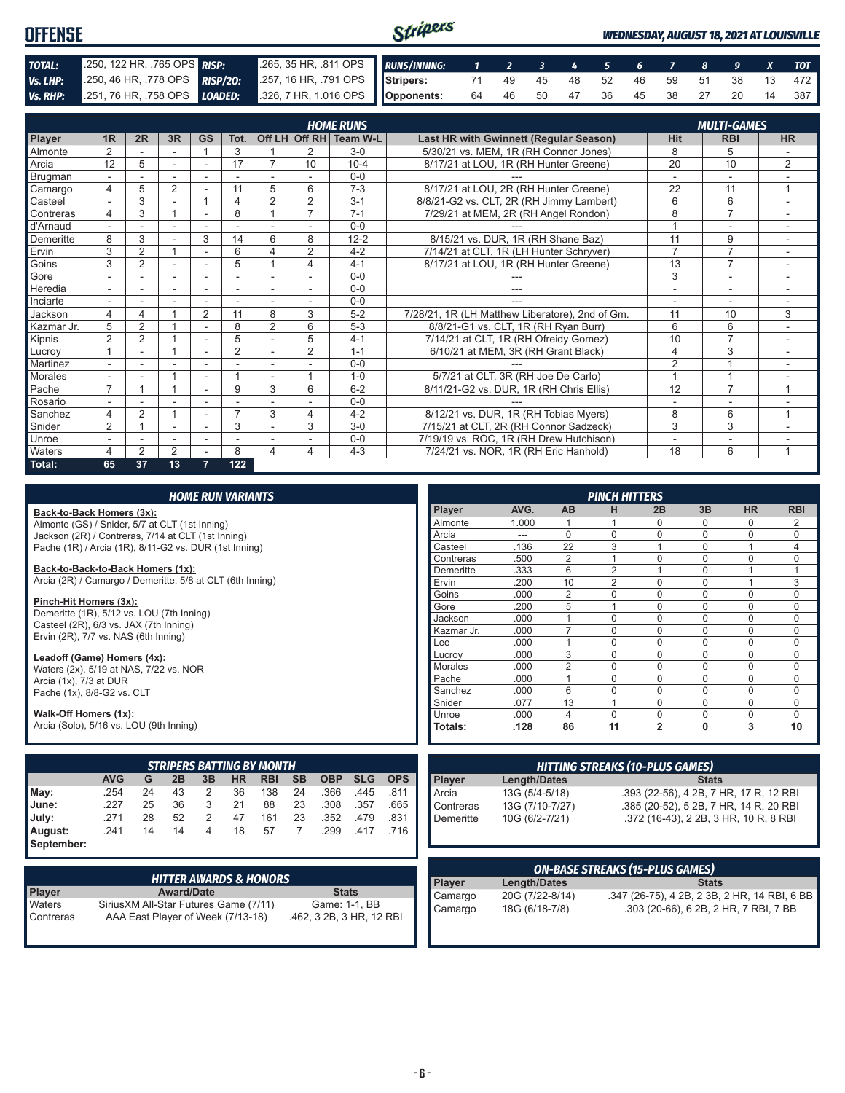| <b>OFFENSE</b> |                                                                      |                                                           |  |                                   |  |  | <b>WEDNESDAY, AUGUST 18, 2021 AT LOUISVILLE</b> |  |                                   |
|----------------|----------------------------------------------------------------------|-----------------------------------------------------------|--|-----------------------------------|--|--|-------------------------------------------------|--|-----------------------------------|
| TOTAL:         | 250, 122 HR, 765 OPS RISP:                                           | 265, 35 HR, .811 OPS RUNS/INNING: 1 2 3 4 5 6 7 8 9 X TOT |  |                                   |  |  |                                                 |  |                                   |
|                | Vs. LHP: 250, 46 HR, 778 OPS RISP/20:                                | 257, 16 HR, 791 OPS Stripers:                             |  | 71 49 45 48 52 46 59 51 38 13 472 |  |  |                                                 |  |                                   |
|                | Vs. RHP: 251, 76 HR, 758 OPS LOADED: 326, 7 HR, 1.016 OPS Opponents: |                                                           |  |                                   |  |  |                                                 |  | 64 46 50 47 36 45 38 27 20 14 387 |

|               | <b>HOME RUNS</b>         |                |                |                          |                |                          |                |                        |                                                 |                |                    |                          |
|---------------|--------------------------|----------------|----------------|--------------------------|----------------|--------------------------|----------------|------------------------|-------------------------------------------------|----------------|--------------------|--------------------------|
|               |                          |                |                |                          |                |                          |                |                        |                                                 |                | <b>MULTI-GAMES</b> |                          |
| <b>Player</b> | 1R                       | 2R             | 3R             | <b>GS</b>                | Tot.           |                          |                | Off LH Off RH Team W-L | Last HR with Gwinnett (Regular Season)          | <b>Hit</b>     | <b>RBI</b>         | <b>HR</b>                |
| Almonte       | $\overline{2}$           |                |                |                          | 3              |                          | $\overline{2}$ | $3-0$                  | 5/30/21 vs. MEM, 1R (RH Connor Jones)           | 8              | 5                  |                          |
| Arcia         | 12                       | 5              | ٠              | $\overline{\phantom{a}}$ | 17             |                          | 10             | $10 - 4$               | 8/17/21 at LOU, 1R (RH Hunter Greene)           | 20             | 10                 | $\overline{2}$           |
| Brugman       |                          |                |                |                          |                |                          |                | $0 - 0$                |                                                 |                | $\overline{a}$     |                          |
| Camargo       | 4                        | 5              | 2              |                          | 11             | 5                        | 6              | $7-3$                  | 8/17/21 at LOU, 2R (RH Hunter Greene)           | 22             | 11                 | $\mathbf{1}$             |
| Casteel       | $\sim$                   | 3              | ٠              |                          | 4              | $\overline{2}$           | 2              | $3 - 1$                | 8/8/21-G2 vs. CLT, 2R (RH Jimmy Lambert)        | 6              | 6                  | ٠                        |
| Contreras     | 4                        | 3              |                |                          | 8              |                          | $\overline{7}$ | $7 - 1$                | 7/29/21 at MEM, 2R (RH Angel Rondon)            | 8              | $\overline{7}$     | $\overline{\phantom{a}}$ |
| d'Arnaud      |                          |                |                |                          |                |                          |                | $0 - 0$                |                                                 |                | ۰                  |                          |
| Demeritte     | 8                        | 3              |                | 3                        | 14             | 6                        | 8              | $12 - 2$               | 8/15/21 vs. DUR, 1R (RH Shane Baz)              | 11             | 9                  |                          |
| Ervin         | 3                        | $\overline{2}$ |                | $\sim$                   | 6              | 4                        | 2              | $4 - 2$                | 7/14/21 at CLT, 1R (LH Hunter Schryver)         | $\overline{7}$ | $\overline{7}$     | ٠.                       |
| Goins         | 3                        | $\overline{2}$ |                | ٠                        | 5              |                          | 4              | $4 - 1$                | 8/17/21 at LOU, 1R (RH Hunter Greene)           | 13             | $\overline{7}$     |                          |
| Gore          |                          |                | ٠              |                          |                |                          |                | $0 - 0$                |                                                 | 3              | $\sim$             |                          |
| Heredia       | $\sim$                   |                | ÷.             | $\sim$                   | $\overline{a}$ | $\overline{\phantom{a}}$ |                | $0 - 0$                | ---                                             | $\overline{a}$ | ٠                  | $\sim$                   |
| Inciarte      |                          |                |                |                          |                |                          |                | $0 - 0$                |                                                 |                | ٠                  |                          |
| Jackson       | 4                        | 4              |                | $\overline{2}$           | 11             | 8                        | 3              | $5-2$                  | 7/28/21, 1R (LH Matthew Liberatore), 2nd of Gm. | 11             | 10                 | 3                        |
| Kazmar Jr.    | 5                        | $\overline{2}$ |                |                          | 8              | $\overline{2}$           | 6              | $5-3$                  | 8/8/21-G1 vs. CLT, 1R (RH Ryan Burr)            | 6              | 6                  |                          |
| Kipnis        | $\overline{2}$           | $\overline{2}$ |                | $\sim$                   | 5              |                          | 5              | $4 - 1$                | 7/14/21 at CLT, 1R (RH Ofreidy Gomez)           | 10             | $\overline{7}$     |                          |
| Lucroy        |                          | ۰              |                | ٠                        | $\overline{2}$ | $\overline{\phantom{a}}$ | 2              | $1 - 1$                | 6/10/21 at MEM, 3R (RH Grant Black)             | $\overline{4}$ | 3                  | ٠.                       |
| Martinez      |                          |                |                |                          |                |                          |                | $0 - 0$                |                                                 | $\overline{2}$ | $\overline{A}$     |                          |
| Morales       |                          |                |                | $\sim$                   |                |                          |                | $1 - 0$                | 5/7/21 at CLT, 3R (RH Joe De Carlo)             |                |                    |                          |
| Pache         | $\overline{ }$           |                |                |                          | 9              | 3                        | 6              | $6 - 2$                | 8/11/21-G2 vs. DUR, 1R (RH Chris Ellis)         | 12             | $\overline{7}$     | $\overline{1}$           |
| Rosario       |                          |                |                | ٠                        |                |                          |                | $0 - 0$                |                                                 |                | ۰                  |                          |
| Sanchez       | 4                        | $\overline{2}$ |                |                          | $\overline{ }$ | 3                        | 4              | $4 - 2$                | 8/12/21 vs. DUR, 1R (RH Tobias Myers)           | 8              | 6                  | 1                        |
| Snider        | $\overline{2}$           |                | ÷.             | $\overline{\phantom{a}}$ | 3              |                          | 3              | $3-0$                  | 7/15/21 at CLT, 2R (RH Connor Sadzeck)          | 3              | 3                  |                          |
| Unroe         | $\overline{\phantom{a}}$ |                | ۰              | ٠                        |                |                          |                | $0 - 0$                | 7/19/19 vs. ROC, 1R (RH Drew Hutchison)         | $\blacksquare$ | ۰                  | ۰                        |
| Waters        | 4                        | $\overline{2}$ | $\overline{2}$ |                          | 8              | 4                        | 4              | $4 - 3$                | 7/24/21 vs. NOR. 1R (RH Eric Hanhold)           | 18             | 6                  | $\overline{A}$           |
| Total:        | 65                       | 37             | 13             | 7                        | 122            |                          |                |                        |                                                 |                |                    |                          |

|                                                           |            |    |    |    | <b>HOME RUN VARIANTS</b> |                                   |                |            |            |            |                |                     |                | <b>PINCH HITTERS</b>                   |                |              |                                        |             |
|-----------------------------------------------------------|------------|----|----|----|--------------------------|-----------------------------------|----------------|------------|------------|------------|----------------|---------------------|----------------|----------------------------------------|----------------|--------------|----------------------------------------|-------------|
| Back-to-Back Homers (3x):                                 |            |    |    |    |                          |                                   |                |            |            |            | <b>Player</b>  | AVG.                | <b>AB</b>      | н                                      | 2B             | 3B           | <b>HR</b>                              | <b>RBI</b>  |
| Almonte (GS) / Snider, 5/7 at CLT (1st Inning)            |            |    |    |    |                          |                                   |                |            | Almonte    | 1.000      |                |                     | 0              |                                        | 0              | 2            |                                        |             |
| Jackson (2R) / Contreras, 7/14 at CLT (1st Inning)        |            |    |    |    |                          |                                   |                |            | Arcia      | $---$      | $\Omega$       | $\Omega$            | $\Omega$       | $\Omega$                               | $\mathbf 0$    | 0            |                                        |             |
| Pache (1R) / Arcia (1R), 8/11-G2 vs. DUR (1st Inning)     |            |    |    |    |                          |                                   |                |            | Casteel    | .136       | 22             | 3                   |                | $\Omega$                               |                | 4            |                                        |             |
|                                                           |            |    |    |    |                          |                                   |                |            |            | Contreras  | .500           | $\overline{2}$      |                | $\Omega$                               | $\Omega$       | $\mathbf 0$  | 0                                      |             |
| Back-to-Back-to-Back Homers (1x):                         |            |    |    |    |                          |                                   |                |            |            |            | Demeritte      | .333                | 6              | $\overline{2}$                         |                | $\Omega$     |                                        |             |
| Arcia (2R) / Camargo / Demeritte, 5/8 at CLT (6th Inning) |            |    |    |    |                          |                                   |                |            |            |            | Ervin          | .200                | 10             | $\overline{2}$                         | 0              | $\Omega$     |                                        | 3           |
| Pinch-Hit Homers (3x):                                    |            |    |    |    |                          |                                   |                |            |            |            | Goins          | .000                | $\overline{2}$ | $\Omega$                               | $\Omega$       | $\Omega$     | $\Omega$                               | 0           |
| Demeritte (1R), 5/12 vs. LOU (7th Inning)                 |            |    |    |    |                          |                                   |                |            |            |            | Gore           | .200                | 5              |                                        | $\Omega$       | $\Omega$     | $\mathbf 0$                            | $\mathbf 0$ |
| Casteel (2R), 6/3 vs. JAX (7th Inning)                    |            |    |    |    |                          |                                   |                |            |            |            | Jackson        | .000                |                | $\Omega$                               | $\Omega$       | $\Omega$     | $\mathbf 0$                            | 0           |
| Ervin (2R), 7/7 vs. NAS (6th Inning)                      |            |    |    |    |                          |                                   |                |            |            |            | Kazmar Jr.     | .000                | $\overline{7}$ | $\Omega$                               | $\Omega$       | $\Omega$     | $\mathbf 0$                            | 0           |
|                                                           |            |    |    |    |                          |                                   |                |            |            |            | Lee            | .000                |                | $\Omega$                               | $\Omega$       | $\Omega$     | $\mathbf 0$                            | 0           |
| Leadoff (Game) Homers (4x):                               |            |    |    |    |                          |                                   |                |            |            |            | Lucroy         | .000                | 3              | $\Omega$                               | $\Omega$       | $\Omega$     | $\mathbf 0$                            | 0           |
| Waters (2x), 5/19 at NAS, 7/22 vs. NOR                    |            |    |    |    |                          |                                   |                |            |            |            | <b>Morales</b> | .000                | $\overline{2}$ | $\mathbf 0$                            | $\mathbf{0}$   | $\Omega$     | $\mathbf 0$                            | 0           |
| Arcia (1x), 7/3 at DUR                                    |            |    |    |    |                          |                                   |                |            |            |            | Pache          | .000                |                | $\Omega$                               | $\Omega$       | $\Omega$     | 0                                      | 0           |
| Pache (1x), 8/8-G2 vs. CLT                                |            |    |    |    |                          |                                   |                |            |            |            | Sanchez        | .000                | 6              | $\Omega$                               | $\Omega$       | $\Omega$     | $\mathbf 0$                            | 0           |
|                                                           |            |    |    |    |                          |                                   |                |            |            |            | Snider         | .077                | 13             |                                        | $\Omega$       | $\Omega$     | $\mathbf 0$                            | $\mathbf 0$ |
| Walk-Off Homers (1x):                                     |            |    |    |    |                          |                                   |                |            |            |            | Unroe          | .000                | $\overline{4}$ | $\Omega$                               | $\overline{0}$ | $\Omega$     | $\mathsf 0$                            | $\mathbf 0$ |
| Arcia (Solo), 5/16 vs. LOU (9th Inning)                   |            |    |    |    |                          |                                   |                |            |            |            | Totals:        | .128                | 86             | 11                                     | $\overline{2}$ | $\Omega$     | 3                                      | 10          |
|                                                           |            |    |    |    |                          | <b>STRIPERS BATTING BY MONTH</b>  |                |            |            |            |                |                     |                | <b>HITTING STREAKS (10-PLUS GAMES)</b> |                |              |                                        |             |
|                                                           | <b>AVG</b> | G  | 2B | 3B | <b>HR</b>                | <b>RBI</b>                        | <b>SB</b>      | <b>OBP</b> | <b>SLG</b> | <b>OPS</b> | Player         | <b>Length/Dates</b> |                |                                        |                | <b>Stats</b> |                                        |             |
| May:                                                      | .254       | 24 | 43 | 2  | 36                       | 138                               | 24             | .366       | .445       | .811       | Arcia          | 13G (5/4-5/18)      |                |                                        |                |              | .393 (22-56), 4 2B, 7 HR, 17 R, 12 RBI |             |
| June:                                                     | .227       | 25 | 36 | 3  | 21                       | 88                                | 23             | .308       | .357       | .665       | Contreras      | 13G (7/10-7/27)     |                |                                        |                |              |                                        |             |
|                                                           |            | 28 | 52 |    |                          |                                   | 23             |            |            |            |                |                     |                |                                        |                |              | .385 (20-52), 5 2B, 7 HR, 14 R, 20 RBI |             |
| July:                                                     | .271       |    |    | 2  | 47                       | 161                               |                | .352       | .479       | .831       | Demeritte      | 10G (6/2-7/21)      |                |                                        |                |              | .372 (16-43), 2 2B, 3 HR, 10 R, 8 RBI  |             |
| August:                                                   | .241       | 14 | 14 | 4  | 18                       | 57                                | $\overline{7}$ | .299       | .417       | .716       |                |                     |                |                                        |                |              |                                        |             |
| September:                                                |            |    |    |    |                          |                                   |                |            |            |            |                |                     |                |                                        |                |              |                                        |             |
|                                                           |            |    |    |    |                          |                                   |                |            |            |            |                |                     |                | <b>ON-BASE STREAKS (15-PLUS GAMES)</b> |                |              |                                        |             |
|                                                           |            |    |    |    |                          | <b>HITTER AWARDS &amp; HONORS</b> |                |            |            |            | <b>Player</b>  | <b>Length/Dates</b> |                |                                        |                | <b>Stats</b> |                                        |             |

| <b>HITTER AWARDS &amp; HONORS</b> |                                        |                                 |  |  |  |  |
|-----------------------------------|----------------------------------------|---------------------------------|--|--|--|--|
| <b>Player</b>                     | <b>Award/Date</b>                      | <b>Stats</b>                    |  |  |  |  |
| <b>Waters</b>                     | Sirius XM All-Star Futures Game (7/11) | Game: 1-1, BB                   |  |  |  |  |
| l Contreras                       | AAA East Player of Week (7/13-18)      | - 1<br>.462, 3 2B, 3 HR, 12 RBI |  |  |  |  |

| <b>ON-BASE STREAKS (15-PLUS GAMES)</b> |                                   |                                                                                       |  |  |  |  |  |
|----------------------------------------|-----------------------------------|---------------------------------------------------------------------------------------|--|--|--|--|--|
| <b>Player</b>                          | Length/Dates                      | <b>Stats</b>                                                                          |  |  |  |  |  |
| Camargo<br>Camargo                     | 20G (7/22-8/14)<br>18G (6/18-7/8) | .347 (26-75), 4 2B, 2 3B, 2 HR, 14 RBI, 6 BB<br>.303 (20-66), 6 2B, 2 HR, 7 RBI, 7 BB |  |  |  |  |  |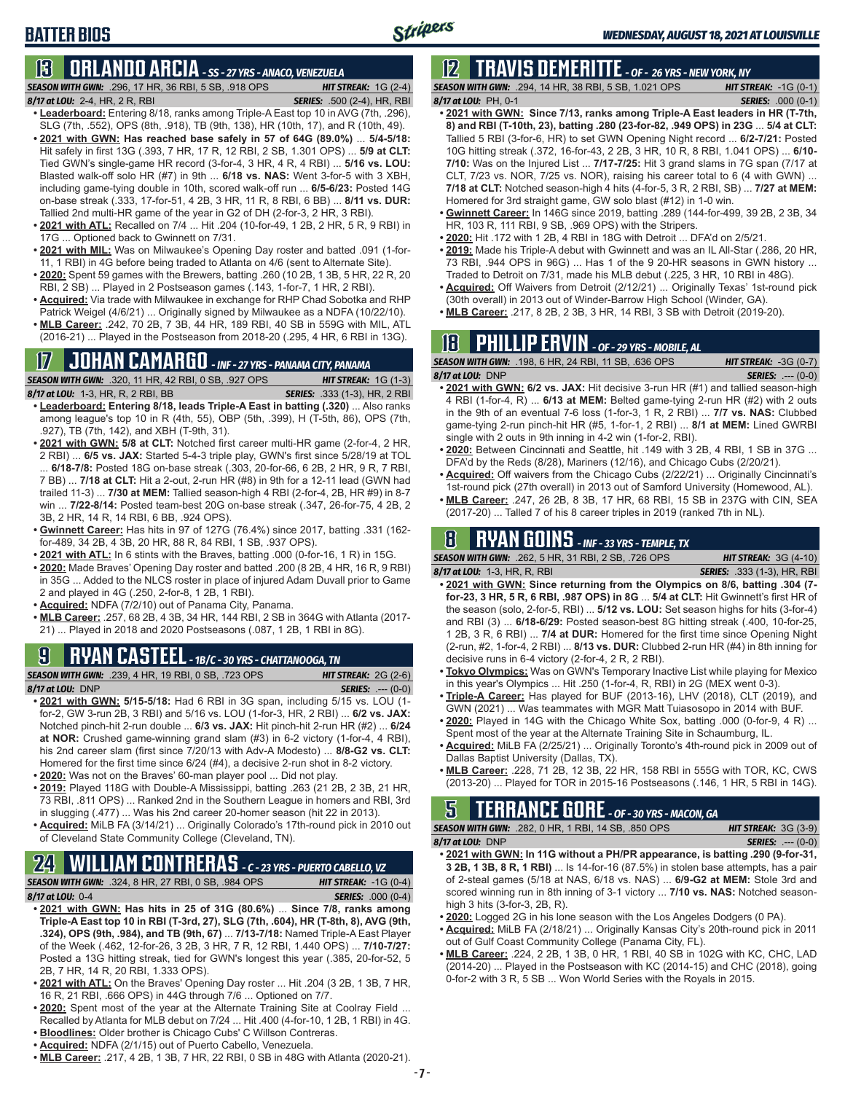### **BATTER BIOS**

### **13 ORLANDO ARCIA** *- SS - 27 YRS - ANACO, VENEZUELA*

*SEASON WITH GWN:*.296, 17 HR, 36 RBI, 5 SB, .918 OPS *HIT STREAK:* 1G (2-4) *8/17 at LOU:*2-4, HR, 2 R, RBI *SERIES:* .500 (2-4), HR, RBI

- **• Leaderboard:** Entering 8/18, ranks among Triple-A East top 10 in AVG (7th, .296), SLG (7th, .552), OPS (8th, .918), TB (9th, 138), HR (10th, 17), and R (10th, 49).
- **• 2021 with GWN: Has reached base safely in 57 of 64G (89.0%)** ... **5/4-5/18:**  Hit safely in first 13G (.393, 7 HR, 17 R, 12 RBI, 2 SB, 1.301 OPS) ... **5/9 at CLT:** Tied GWN's single-game HR record (3-for-4, 3 HR, 4 R, 4 RBI) ... **5/16 vs. LOU:** Blasted walk-off solo HR (#7) in 9th ... **6/18 vs. NAS:** Went 3-for-5 with 3 XBH, including game-tying double in 10th, scored walk-off run ... **6/5-6/23:** Posted 14G on-base streak (.333, 17-for-51, 4 2B, 3 HR, 11 R, 8 RBI, 6 BB) ... **8/11 vs. DUR:** Tallied 2nd multi-HR game of the year in G2 of DH (2-for-3, 2 HR, 3 RBI).
- **• 2021 with ATL:** Recalled on 7/4 ... Hit .204 (10-for-49, 1 2B, 2 HR, 5 R, 9 RBI) in 17G ... Optioned back to Gwinnett on 7/31.
- **• 2021 with MIL:** Was on Milwaukee's Opening Day roster and batted .091 (1-for-11, 1 RBI) in 4G before being traded to Atlanta on 4/6 (sent to Alternate Site).
- **• 2020:** Spent 59 games with the Brewers, batting .260 (10 2B, 1 3B, 5 HR, 22 R, 20 RBI, 2 SB) ... Played in 2 Postseason games (.143, 1-for-7, 1 HR, 2 RBI).
- **• Acquired:** Via trade with Milwaukee in exchange for RHP Chad Sobotka and RHP Patrick Weigel (4/6/21) ... Originally signed by Milwaukee as a NDFA (10/22/10).
- **• MLB Career:** .242, 70 2B, 7 3B, 44 HR, 189 RBI, 40 SB in 559G with MIL, ATL (2016-21) ... Played in the Postseason from 2018-20 (.295, 4 HR, 6 RBI in 13G).

### **17 JOHAN CAMARGO** *- INF - 27 YRS - PANAMA CITY, PANAMA*

*SEASON WITH GWN:*.320, 11 HR, 42 RBI, 0 SB, .927 OPS *HIT STREAK:* 1G (1-3)

*8/17 at LOU:* 1-3, HR, R, 2 RBI, BB *SERIES:* .333 (1-3), HR, 2 RBI

- **• Leaderboard: Entering 8/18, leads Triple-A East in batting (.320)** ... Also ranks among league's top 10 in R (4th, 55), OBP (5th, .399), H (T-5th, 86), OPS (7th, .927), TB (7th, 142), and XBH (T-9th, 31).
- **• 2021 with GWN: 5/8 at CLT:** Notched first career multi-HR game (2-for-4, 2 HR, 2 RBI) ... **6/5 vs. JAX:** Started 5-4-3 triple play, GWN's first since 5/28/19 at TOL ... **6/18-7/8:** Posted 18G on-base streak (.303, 20-for-66, 6 2B, 2 HR, 9 R, 7 RBI, 7 BB) ... **7/18 at CLT:** Hit a 2-out, 2-run HR (#8) in 9th for a 12-11 lead (GWN had trailed 11-3) ... **7/30 at MEM:** Tallied season-high 4 RBI (2-for-4, 2B, HR #9) in 8-7 win ... **7/22-8/14:** Posted team-best 20G on-base streak (.347, 26-for-75, 4 2B, 2 3B, 2 HR, 14 R, 14 RBI, 6 BB, .924 OPS).
- **• Gwinnett Career:** Has hits in 97 of 127G (76.4%) since 2017, batting .331 (162 for-489, 34 2B, 4 3B, 20 HR, 88 R, 84 RBI, 1 SB, .937 OPS).
- **• 2021 with ATL:** In 6 stints with the Braves, batting .000 (0-for-16, 1 R) in 15G. **• 2020:** Made Braves' Opening Day roster and batted .200 (8 2B, 4 HR, 16 R, 9 RBI)
- in 35G ... Added to the NLCS roster in place of injured Adam Duvall prior to Game 2 and played in 4G (.250, 2-for-8, 1 2B, 1 RBI).
- **• Acquired:** NDFA (7/2/10) out of Panama City, Panama.
- **• MLB Career:** .257, 68 2B, 4 3B, 34 HR, 144 RBI, 2 SB in 364G with Atlanta (2017- 21) ... Played in 2018 and 2020 Postseasons (.087, 1 2B, 1 RBI in 8G).

# **9 RYAN CASTEEL** *- 1B/C - 30 YRS - CHATTANOOGA, TN*

*SEASON WITH GWN:*.239, 4 HR, 19 RBI, 0 SB, .723 OPS *HIT STREAK:* 2G (2-6) *8/17 at LOU:*DNP *SERIES:* .--- (0-0)

- **• 2021 with GWN: 5/15-5/18:** Had 6 RBI in 3G span, including 5/15 vs. LOU (1 for-2, GW 3-run 2B, 3 RBI) and 5/16 vs. LOU (1-for-3, HR, 2 RBI) ... **6/2 vs. JAX:** Notched pinch-hit 2-run double ... **6/3 vs. JAX:** Hit pinch-hit 2-run HR (#2) ... **6/24 at NOR:** Crushed game-winning grand slam (#3) in 6-2 victory (1-for-4, 4 RBI), his 2nd career slam (first since 7/20/13 with Adv-A Modesto) ... **8/8-G2 vs. CLT:** Homered for the first time since 6/24 (#4), a decisive 2-run shot in 8-2 victory. **• 2020:** Was not on the Braves' 60-man player pool ... Did not play.
- **• 2019:** Played 118G with Double-A Mississippi, batting .263 (21 2B, 2 3B, 21 HR,
- 73 RBI, .811 OPS) ... Ranked 2nd in the Southern League in homers and RBI, 3rd in slugging (.477) ... Was his 2nd career 20-homer season (hit 22 in 2013). **• Acquired:** MiLB FA (3/14/21) ... Originally Colorado's 17th-round pick in 2010 out
- of Cleveland State Community College (Cleveland, TN).

# **24 WILLIAM CONTRERAS** *- C - 23 YRS - PUERTO CABELLO, VZ*

*SEASON WITH GWN:*.324, 8 HR, 27 RBI, 0 SB, .984 OPS *HIT STREAK:* -1G (0-4)

- *8/17 at LOU:* 0-4 *SERIES:* .000 (0-4) **• 2021 with GWN: Has hits in 25 of 31G (80.6%)** ... **Since 7/8, ranks among Triple-A East top 10 in RBI (T-3rd, 27), SLG (7th, .604), HR (T-8th, 8), AVG (9th, .324), OPS (9th, .984), and TB (9th, 67)** ... **7/13-7/18:** Named Triple-A East Player of the Week (.462, 12-for-26, 3 2B, 3 HR, 7 R, 12 RBI, 1.440 OPS) ... **7/10-7/27:** Posted a 13G hitting streak, tied for GWN's longest this year (.385, 20-for-52, 5 2B, 7 HR, 14 R, 20 RBI, 1.333 OPS).
- **• 2021 with ATL:** On the Braves' Opening Day roster ... Hit .204 (3 2B, 1 3B, 7 HR, 16 R, 21 RBI, .666 OPS) in 44G through 7/6 ... Optioned on 7/7.
- **• 2020:** Spent most of the year at the Alternate Training Site at Coolray Field ... Recalled by Atlanta for MLB debut on 7/24 ... Hit .400 (4-for-10, 1 2B, 1 RBI) in 4G.
- **• Bloodlines:** Older brother is Chicago Cubs' C Willson Contreras.
- **• Acquired:** NDFA (2/1/15) out of Puerto Cabello, Venezuela.
- **• MLB Career:** .217, 4 2B, 1 3B, 7 HR, 22 RBI, 0 SB in 48G with Atlanta (2020-21).

# **12 TRAVIS DEMERITTE** *- OF - 26 YRS - NEW YORK, NY*

*SEASON WITH GWN:*.294, 14 HR, 38 RBI, 5 SB, 1.021 OPS *HIT STREAK:* -1G (0-1) *8/17 at LOU:*PH, 0-1 *SERIES:* .000 (0-1)

- **• 2021 with GWN: Since 7/13, ranks among Triple-A East leaders in HR (T-7th, 8) and RBI (T-10th, 23), batting .280 (23-for-82, .949 OPS) in 23G** ... **5/4 at CLT:**  Tallied 5 RBI (3-for-6, HR) to set GWN Opening Night record ... **6/2-7/21:** Posted 10G hitting streak (.372, 16-for-43, 2 2B, 3 HR, 10 R, 8 RBI, 1.041 OPS) ... **6/10- 7/10:** Was on the Injured List ... **7/17-7/25:** Hit 3 grand slams in 7G span (7/17 at CLT, 7/23 vs. NOR, 7/25 vs. NOR), raising his career total to 6 (4 with GWN) ... **7/18 at CLT:** Notched season-high 4 hits (4-for-5, 3 R, 2 RBI, SB) ... **7/27 at MEM:** Homered for 3rd straight game, GW solo blast (#12) in 1-0 win.
- **• Gwinnett Career:** In 146G since 2019, batting .289 (144-for-499, 39 2B, 2 3B, 34 HR, 103 R, 111 RBI, 9 SB, .969 OPS) with the Stripers.
- **• 2020:** Hit .172 with 1 2B, 4 RBI in 18G with Detroit ... DFA'd on 2/5/21.
- **• 2019:** Made his Triple-A debut with Gwinnett and was an IL All-Star (.286, 20 HR, 73 RBI, .944 OPS in 96G) ... Has 1 of the 9 20-HR seasons in GWN history ... Traded to Detroit on 7/31, made his MLB debut (.225, 3 HR, 10 RBI in 48G).
- **• Acquired:** Off Waivers from Detroit (2/12/21) ... Originally Texas' 1st-round pick (30th overall) in 2013 out of Winder-Barrow High School (Winder, GA).
- **• MLB Career:** .217, 8 2B, 2 3B, 3 HR, 14 RBI, 3 SB with Detroit (2019-20).

### **18 PHILLIP ERVIN** *- OF - 29 YRS - MOBILE, AL*

| <b>SEASON WITH GWN:</b> .198, 6 HR, 24 RBI, 11 SB, .636 OPS ' | <b>HIT STREAK: <math>-3G(0-7)</math></b> |
|---------------------------------------------------------------|------------------------------------------|
| 8 <b>/17 at LOU:</b> DNP                                      | <b>SERIES:</b> $--- (0-0)$               |
|                                                               |                                          |

- **• 2021 with GWN: 6/2 vs. JAX:** Hit decisive 3-run HR (#1) and tallied season-high 4 RBI (1-for-4, R) ... **6/13 at MEM:** Belted game-tying 2-run HR (#2) with 2 outs in the 9th of an eventual 7-6 loss (1-for-3, 1 R, 2 RBI) ... **7/7 vs. NAS:** Clubbed game-tying 2-run pinch-hit HR (#5, 1-for-1, 2 RBI) ... **8/1 at MEM:** Lined GWRBI single with 2 outs in 9th inning in 4-2 win (1-for-2, RBI).
- **• 2020:** Between Cincinnati and Seattle, hit .149 with 3 2B, 4 RBI, 1 SB in 37G ... DFA'd by the Reds (8/28), Mariners (12/16), and Chicago Cubs (2/20/21).
- **• Acquired:** Off waivers from the Chicago Cubs (2/22/21) ... Originally Cincinnati's 1st-round pick (27th overall) in 2013 out of Samford University (Homewood, AL).
- **• MLB Career:** .247, 26 2B, 8 3B, 17 HR, 68 RBI, 15 SB in 237G with CIN, SEA (2017-20) ... Talled 7 of his 8 career triples in 2019 (ranked 7th in NL).

# **8 RYAN GOINS** *- INF - 33 YRS - TEMPLE, TX*

*SEASON WITH GWN:*.262, 5 HR, 31 RBI, 2 SB, .726 OPS *HIT STREAK:* 3G (4-10) *8/17 at LOU:*1-3, HR, R, RBI *SERIES:* .333 (1-3), HR, RBI

- 
- **• 2021 with GWN: Since returning from the Olympics on 8/6, batting .304 (7 for-23, 3 HR, 5 R, 6 RBI, .987 OPS) in 8G** ... **5/4 at CLT:** Hit Gwinnett's first HR of the season (solo, 2-for-5, RBI) ... **5/12 vs. LOU:** Set season highs for hits (3-for-4) and RBI (3) ... **6/18-6/29:** Posted season-best 8G hitting streak (.400, 10-for-25, 1 2B, 3 R, 6 RBI) ... **7/4 at DUR:** Homered for the first time since Opening Night (2-run, #2, 1-for-4, 2 RBI) ... **8/13 vs. DUR:** Clubbed 2-run HR (#4) in 8th inning for decisive runs in 6-4 victory (2-for-4, 2 R, 2 RBI).
- **• Tokyo Olympics:** Was on GWN's Temporary Inactive List while playing for Mexico in this year's Olympics ... Hit .250 (1-for-4, R, RBI) in 2G (MEX went 0-3).
- **• Triple-A Career:** Has played for BUF (2013-16), LHV (2018), CLT (2019), and GWN (2021) ... Was teammates with MGR Matt Tuiasosopo in 2014 with BUF.
- **• 2020:** Played in 14G with the Chicago White Sox, batting .000 (0-for-9, 4 R) ... Spent most of the year at the Alternate Training Site in Schaumburg, IL.
- **• Acquired:** MiLB FA (2/25/21) ... Originally Toronto's 4th-round pick in 2009 out of Dallas Baptist University (Dallas, TX).
- **• MLB Career:** .228, 71 2B, 12 3B, 22 HR, 158 RBI in 555G with TOR, KC, CWS (2013-20) ... Played for TOR in 2015-16 Postseasons (.146, 1 HR, 5 RBI in 14G).

# **5 TERRANCE GORE** *- OF - 30 YRS - MACON, GA*

*SEASON WITH GWN:*.282, 0 HR, 1 RBI, 14 SB, .850 OPS *HIT STREAK:* 3G (3-9) *8/17 at LOU:*DNP *SERIES:* .--- (0-0)

- **• 2021 with GWN: In 11G without a PH/PR appearance, is batting .290 (9-for-31, 3 2B, 1 3B, 8 R, 1 RBI)** ... Is 14-for-16 (87.5%) in stolen base attempts, has a pair of 2-steal games (5/18 at NAS, 6/18 vs. NAS) ... **6/9-G2 at MEM:** Stole 3rd and scored winning run in 8th inning of 3-1 victory ... **7/10 vs. NAS:** Notched seasonhigh 3 hits (3-for-3, 2B, R).
- **• 2020:** Logged 2G in his lone season with the Los Angeles Dodgers (0 PA).
- **• Acquired:** MiLB FA (2/18/21) ... Originally Kansas City's 20th-round pick in 2011
- out of Gulf Coast Community College (Panama City, FL). **• MLB Career:** .224, 2 2B, 1 3B, 0 HR, 1 RBI, 40 SB in 102G with KC, CHC, LAD (2014-20) ... Played in the Postseason with KC (2014-15) and CHC (2018), going 0-for-2 with 3 R, 5 SB ... Won World Series with the Royals in 2015.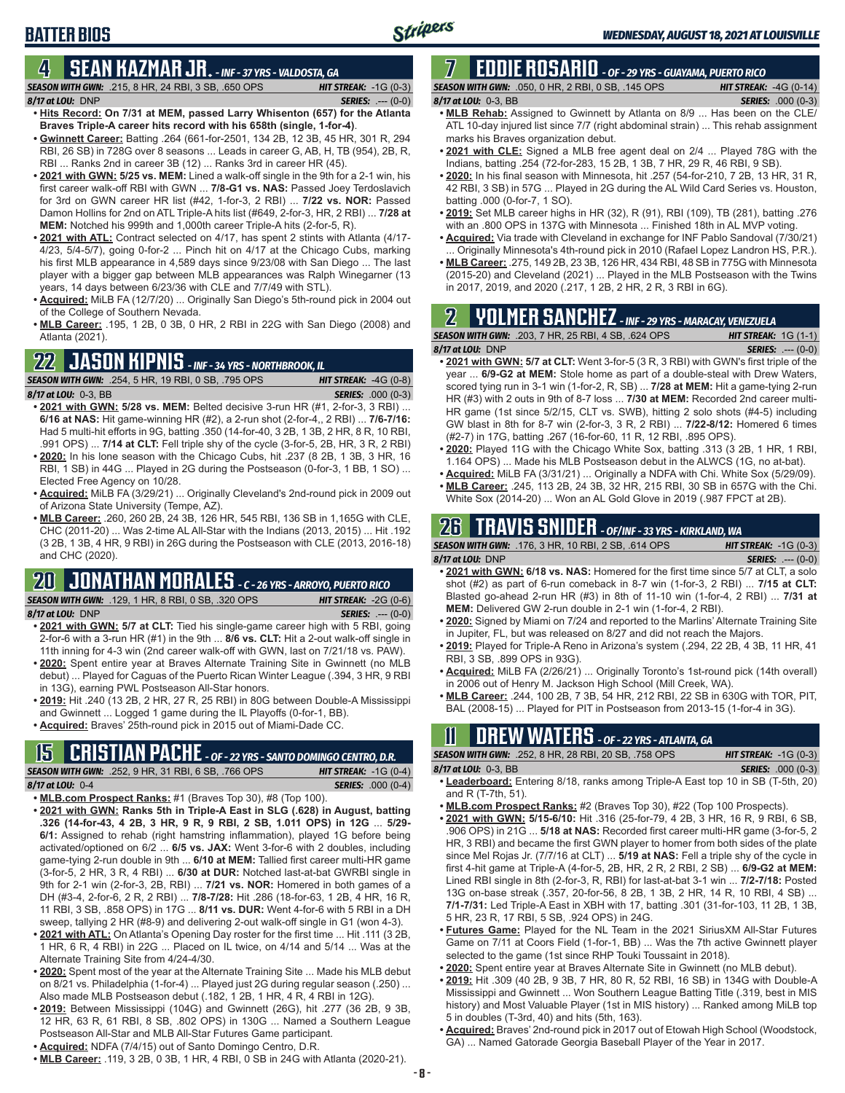### **BATTER BIOS**

#### **4 SEAN KAZMAR JR.** *- INF - 37 YRS - VALDOSTA, GA*

- *SEASON WITH GWN:*.215, 8 HR, 24 RBI, 3 SB, .650 OPS *HIT STREAK:* -1G (0-3) *8/17 at LOU:*DNP *SERIES:* .--- (0-0)
- **• Hits Record: On 7/31 at MEM, passed Larry Whisenton (657) for the Atlanta Braves Triple-A career hits record with his 658th (single, 1-for-4)**. **• Gwinnett Career:** Batting .264 (661-for-2501, 134 2B, 12 3B, 45 HR, 301 R, 294
- RBI, 26 SB) in 728G over 8 seasons ... Leads in career G, AB, H, TB (954), 2B, R, RBI ... Ranks 2nd in career 3B (12) ... Ranks 3rd in career HR (45).
- **• 2021 with GWN: 5/25 vs. MEM:** Lined a walk-off single in the 9th for a 2-1 win, his first career walk-off RBI with GWN ... **7/8-G1 vs. NAS:** Passed Joey Terdoslavich for 3rd on GWN career HR list (#42, 1-for-3, 2 RBI) ... **7/22 vs. NOR:** Passed Damon Hollins for 2nd on ATL Triple-A hits list (#649, 2-for-3, HR, 2 RBI) ... **7/28 at MEM:** Notched his 999th and 1,000th career Triple-A hits (2-for-5, R).
- **• 2021 with ATL:** Contract selected on 4/17, has spent 2 stints with Atlanta (4/17- 4/23, 5/4-5/7), going 0-for-2 ... Pinch hit on 4/17 at the Chicago Cubs, marking his first MLB appearance in 4,589 days since 9/23/08 with San Diego ... The last player with a bigger gap between MLB appearances was Ralph Winegarner (13 years, 14 days between 6/23/36 with CLE and 7/7/49 with STL).
- **• Acquired:** MiLB FA (12/7/20) ... Originally San Diego's 5th-round pick in 2004 out of the College of Southern Nevada.
- **• MLB Career:** .195, 1 2B, 0 3B, 0 HR, 2 RBI in 22G with San Diego (2008) and Atlanta (2021).

### **22 JASON KIPNIS** *- INF - 34 YRS - NORTHBROOK, IL*



- **• 2021 with GWN: 5/28 vs. MEM:** Belted decisive 3-run HR (#1, 2-for-3, 3 RBI) ... **6/16 at NAS:** Hit game-winning HR (#2), a 2-run shot (2-for-4,, 2 RBI) ... **7/6-7/16:** Had 5 multi-hit efforts in 9G, batting .350 (14-for-40, 3 2B, 1 3B, 2 HR, 8 R, 10 RBI, .991 OPS) ... **7/14 at CLT:** Fell triple shy of the cycle (3-for-5, 2B, HR, 3 R, 2 RBI) **• 2020:** In his lone season with the Chicago Cubs, hit .237 (8 2B, 1 3B, 3 HR, 16
- RBI, 1 SB) in 44G ... Played in 2G during the Postseason (0-for-3, 1 BB, 1 SO) ... Elected Free Agency on 10/28.
- **• Acquired:** MiLB FA (3/29/21) ... Originally Cleveland's 2nd-round pick in 2009 out of Arizona State University (Tempe, AZ).
- **• MLB Career:** .260, 260 2B, 24 3B, 126 HR, 545 RBI, 136 SB in 1,165G with CLE, CHC (2011-20) ... Was 2-time AL All-Star with the Indians (2013, 2015) ... Hit .192 (3 2B, 1 3B, 4 HR, 9 RBI) in 26G during the Postseason with CLE (2013, 2016-18) and CHC (2020).

# **20 JONATHAN MORALES** *- C - 26 YRS - ARROYO, PUERTO RICO*

*SEASON WITH GWN:*.129, 1 HR, 8 RBI, 0 SB, .320 OPS *HIT STREAK:* -2G (0-6)

*8/17 at LOU:*DNP *SERIES:* .--- (0-0)

- **• 2021 with GWN: 5/7 at CLT:** Tied his single-game career high with 5 RBI, going 2-for-6 with a 3-run HR (#1) in the 9th ... **8/6 vs. CLT:** Hit a 2-out walk-off single in 11th inning for 4-3 win (2nd career walk-off with GWN, last on 7/21/18 vs. PAW).
- **• 2020:** Spent entire year at Braves Alternate Training Site in Gwinnett (no MLB debut) ... Played for Caguas of the Puerto Rican Winter League (.394, 3 HR, 9 RBI in 13G), earning PWL Postseason All-Star honors.
- **• 2019:** Hit .240 (13 2B, 2 HR, 27 R, 25 RBI) in 80G between Double-A Mississippi and Gwinnett ... Logged 1 game during the IL Playoffs (0-for-1, BB).
- **• Acquired:** Braves' 25th-round pick in 2015 out of Miami-Dade CC.

#### **15 CRISTIAN PACHE** *- OF - 22 YRS - SANTO DOMINGO CENTRO, D.R.*

*SEASON WITH GWN:*.252, 9 HR, 31 RBI, 6 SB, .766 OPS *HIT STREAK:* -1G (0-4) *8/17 at LOU:* 0-4 *SERIES:* .000 (0-4)

- **• MLB.com Prospect Ranks:** #1 (Braves Top 30), #8 (Top 100). **• 2021 with GWN: Ranks 5th in Triple-A East in SLG (.628) in August, batting**
- **.326 (14-for-43, 4 2B, 3 HR, 9 R, 9 RBI, 2 SB, 1.011 OPS) in 12G** ... **5/29- 6/1:** Assigned to rehab (right hamstring inflammation), played 1G before being activated/optioned on 6/2 ... **6/5 vs. JAX:** Went 3-for-6 with 2 doubles, including game-tying 2-run double in 9th ... **6/10 at MEM:** Tallied first career multi-HR game (3-for-5, 2 HR, 3 R, 4 RBI) ... **6/30 at DUR:** Notched last-at-bat GWRBI single in 9th for 2-1 win (2-for-3, 2B, RBI) ... **7/21 vs. NOR:** Homered in both games of a DH (#3-4, 2-for-6, 2 R, 2 RBI) ... **7/8-7/28:** Hit .286 (18-for-63, 1 2B, 4 HR, 16 R, 11 RBI, 3 SB, .858 OPS) in 17G ... **8/11 vs. DUR:** Went 4-for-6 with 5 RBI in a DH sweep, tallying 2 HR (#8-9) and delivering 2-out walk-off single in G1 (won 4-3).
- **• 2021 with ATL:** On Atlanta's Opening Day roster for the first time ... Hit .111 (3 2B, 1 HR, 6 R, 4 RBI) in 22G ... Placed on IL twice, on 4/14 and 5/14 ... Was at the Alternate Training Site from 4/24-4/30.
- **• 2020:** Spent most of the year at the Alternate Training Site ... Made his MLB debut on 8/21 vs. Philadelphia (1-for-4) ... Played just 2G during regular season (.250) ... Also made MLB Postseason debut (.182, 1 2B, 1 HR, 4 R, 4 RBI in 12G).
- **• 2019:** Between Mississippi (104G) and Gwinnett (26G), hit .277 (36 2B, 9 3B, 12 HR, 63 R, 61 RBI, 8 SB, .802 OPS) in 130G ... Named a Southern League Postseason All-Star and MLB All-Star Futures Game participant.
- **• Acquired:** NDFA (7/4/15) out of Santo Domingo Centro, D.R.
- **• MLB Career:** .119, 3 2B, 0 3B, 1 HR, 4 RBI, 0 SB in 24G with Atlanta (2020-21).

#### **7 EDDIE ROSARIO** *- OF - 29 YRS - GUAYAMA, PUERTO RICO SEASON WITH GWN:*.050, 0 HR, 2 RBI, 0 SB, .145 OPS *HIT STREAK:* -4G (0-14)

#### *8/17 at LOU:* 0-3, BB *SERIES:* .000 (0-3)

- **• MLB Rehab:** Assigned to Gwinnett by Atlanta on 8/9 ... Has been on the CLE/ ATL 10-day injured list since 7/7 (right abdominal strain) ... This rehab assignment marks his Braves organization debut.
- **• 2021 with CLE:** Signed a MLB free agent deal on 2/4 ... Played 78G with the Indians, batting .254 (72-for-283, 15 2B, 1 3B, 7 HR, 29 R, 46 RBI, 9 SB).
- **• 2020:** In his final season with Minnesota, hit .257 (54-for-210, 7 2B, 13 HR, 31 R, 42 RBI, 3 SB) in 57G ... Played in 2G during the AL Wild Card Series vs. Houston, batting .000 (0-for-7, 1 SO).
- **• 2019:** Set MLB career highs in HR (32), R (91), RBI (109), TB (281), batting .276 with an .800 OPS in 137G with Minnesota ... Finished 18th in AL MVP voting.
- **• Acquired:** Via trade with Cleveland in exchange for INF Pablo Sandoval (7/30/21) Originally Minnesota's 4th-round pick in 2010 (Rafael Lopez Landron HS, P.R.).
- **• MLB Career:** .275, 149 2B, 23 3B, 126 HR, 434 RBI, 48 SB in 775G with Minnesota (2015-20) and Cleveland (2021) ... Played in the MLB Postseason with the Twins in 2017, 2019, and 2020 (.217, 1 2B, 2 HR, 2 R, 3 RBI in 6G).

# **2 YOLMER SANCHEZ** *- INF - 29 YRS - MARACAY, VENEZUELA*

| <b>SEASON WITH GWN:</b> .203. 7 HR. 25 RBI. 4 SB. .624 OPS                            | <b>HIT STREAK:</b> $1G(1-1)$ |
|---------------------------------------------------------------------------------------|------------------------------|
| 8/17 at LOU: DNP                                                                      | <b>SERIES:</b> $--- (0-0)$   |
| • 2021 with GWN: 5/7 at CLT: Went 3-for-5 (3 R, 3 RBI) with GWN's first triple of the |                              |

- year ... **6/9-G2 at MEM:** Stole home as part of a double-steal with Drew Waters, scored tying run in 3-1 win (1-for-2, R, SB) ... **7/28 at MEM:** Hit a game-tying 2-run HR (#3) with 2 outs in 9th of 8-7 loss ... **7/30 at MEM:** Recorded 2nd career multi-HR game (1st since 5/2/15, CLT vs. SWB), hitting 2 solo shots (#4-5) including GW blast in 8th for 8-7 win (2-for-3, 3 R, 2 RBI) ... **7/22-8/12:** Homered 6 times (#2-7) in 17G, batting .267 (16-for-60, 11 R, 12 RBI, .895 OPS).
- **• 2020:** Played 11G with the Chicago White Sox, batting .313 (3 2B, 1 HR, 1 RBI, 1.164 OPS) ... Made his MLB Postseason debut in the ALWCS (1G, no at-bat).
- **• Acquired:** MiLB FA (3/31/21) ... Originally a NDFA with Chi. White Sox (5/29/09).
- **• MLB Career:** .245, 113 2B, 24 3B, 32 HR, 215 RBI, 30 SB in 657G with the Chi. White Sox (2014-20) ... Won an AL Gold Glove in 2019 (.987 FPCT at 2B).

# **26 TRAVIS SNIDER** *- OF/INF - 33 YRS - KIRKLAND, WA*

| <b>SEASON WITH GWN: .176. 3 HR. 10 RBI. 2 SB. .614 OPS</b>                         | <b>HIT STREAK:</b> $-1G(0-3)$ |
|------------------------------------------------------------------------------------|-------------------------------|
| 8/17 at LOU: DNP                                                                   | <b>SERIES:</b> $--- (0-0)$    |
| . 2021 with GWN: 6/18 vs. NAS: Homered for the first time since 5/7 at CLT, a solo |                               |
| shot $(\#2)$ as part of 6-run comeback in 8-7 win (1-for-3, 2 RBI)  7/15 at CLT:   |                               |

- Blasted go-ahead 2-run HR (#3) in 8th of 11-10 win (1-for-4, 2 RBI) ... **7/31 at MEM:** Delivered GW 2-run double in 2-1 win (1-for-4, 2 RBI).
- **• 2020:** Signed by Miami on 7/24 and reported to the Marlins' Alternate Training Site in Jupiter, FL, but was released on 8/27 and did not reach the Majors.
- **• 2019:** Played for Triple-A Reno in Arizona's system (.294, 22 2B, 4 3B, 11 HR, 41 RBI, 3 SB, .899 OPS in 93G).
- **• Acquired:** MiLB FA (2/26/21) ... Originally Toronto's 1st-round pick (14th overall) in 2006 out of Henry M. Jackson High School (Mill Creek, WA).
- **• MLB Career:** .244, 100 2B, 7 3B, 54 HR, 212 RBI, 22 SB in 630G with TOR, PIT, BAL (2008-15) ... Played for PIT in Postseason from 2013-15 (1-for-4 in 3G).

# **11 Drew WATERS** *- OF - 22 YRS - ATLANTA, GA*

| <b>SEASON WITH GWN:</b> .252, 8 HR, 28 RBI, 20 SB, .758 OPS '                                                                                                                                                                                                                                               | <b>HIT STREAK:</b> $-1G(0-3)$ |
|-------------------------------------------------------------------------------------------------------------------------------------------------------------------------------------------------------------------------------------------------------------------------------------------------------------|-------------------------------|
| 8/17 at LOU: 0-3, BB                                                                                                                                                                                                                                                                                        | <b>SERIES:</b> .000 (0-3)     |
| $\mathbf{r}$ , $\mathbf{r}$ , $\mathbf{r}$ , $\mathbf{r}$ , $\mathbf{r}$ , $\mathbf{r}$ , $\mathbf{r}$ , $\mathbf{r}$ , $\mathbf{r}$ , $\mathbf{r}$ , $\mathbf{r}$ , $\mathbf{r}$ , $\mathbf{r}$ , $\mathbf{r}$ , $\mathbf{r}$ , $\mathbf{r}$ , $\mathbf{r}$ , $\mathbf{r}$ , $\mathbf{r}$ , $\mathbf{r}$ , |                               |

- **• Leaderboard:** Entering 8/18, ranks among Triple-A East top 10 in SB (T-5th, 20) and R (T-7th, 51).
- **• MLB.com Prospect Ranks:** #2 (Braves Top 30), #22 (Top 100 Prospects).
- **• 2021 with GWN: 5/15-6/10:** Hit .316 (25-for-79, 4 2B, 3 HR, 16 R, 9 RBI, 6 SB, .906 OPS) in 21G ... **5/18 at NAS:** Recorded first career multi-HR game (3-for-5, 2 HR, 3 RBI) and became the first GWN player to homer from both sides of the plate since Mel Rojas Jr. (7/7/16 at CLT) ... **5/19 at NAS:** Fell a triple shy of the cycle in first 4-hit game at Triple-A (4-for-5, 2B, HR, 2 R, 2 RBI, 2 SB) ... **6/9-G2 at MEM:** Lined RBI single in 8th (2-for-3, R, RBI) for last-at-bat 3-1 win ... **7/2-7/18:** Posted 13G on-base streak (.357, 20-for-56, 8 2B, 1 3B, 2 HR, 14 R, 10 RBI, 4 SB) ... **7/1-7/31:** Led Triple-A East in XBH with 17, batting .301 (31-for-103, 11 2B, 1 3B, 5 HR, 23 R, 17 RBI, 5 SB, .924 OPS) in 24G.
- **• Futures Game:** Played for the NL Team in the 2021 SiriusXM All-Star Futures Game on 7/11 at Coors Field (1-for-1, BB) ... Was the 7th active Gwinnett player selected to the game (1st since RHP Touki Toussaint in 2018).
- **• 2020:** Spent entire year at Braves Alternate Site in Gwinnett (no MLB debut).
- **• 2019:** Hit .309 (40 2B, 9 3B, 7 HR, 80 R, 52 RBI, 16 SB) in 134G with Double-A Mississippi and Gwinnett ... Won Southern League Batting Title (.319, best in MIS history) and Most Valuable Player (1st in MIS history) ... Ranked among MiLB top 5 in doubles (T-3rd, 40) and hits (5th, 163).
- **• Acquired:** Braves' 2nd-round pick in 2017 out of Etowah High School (Woodstock, GA) ... Named Gatorade Georgia Baseball Player of the Year in 2017.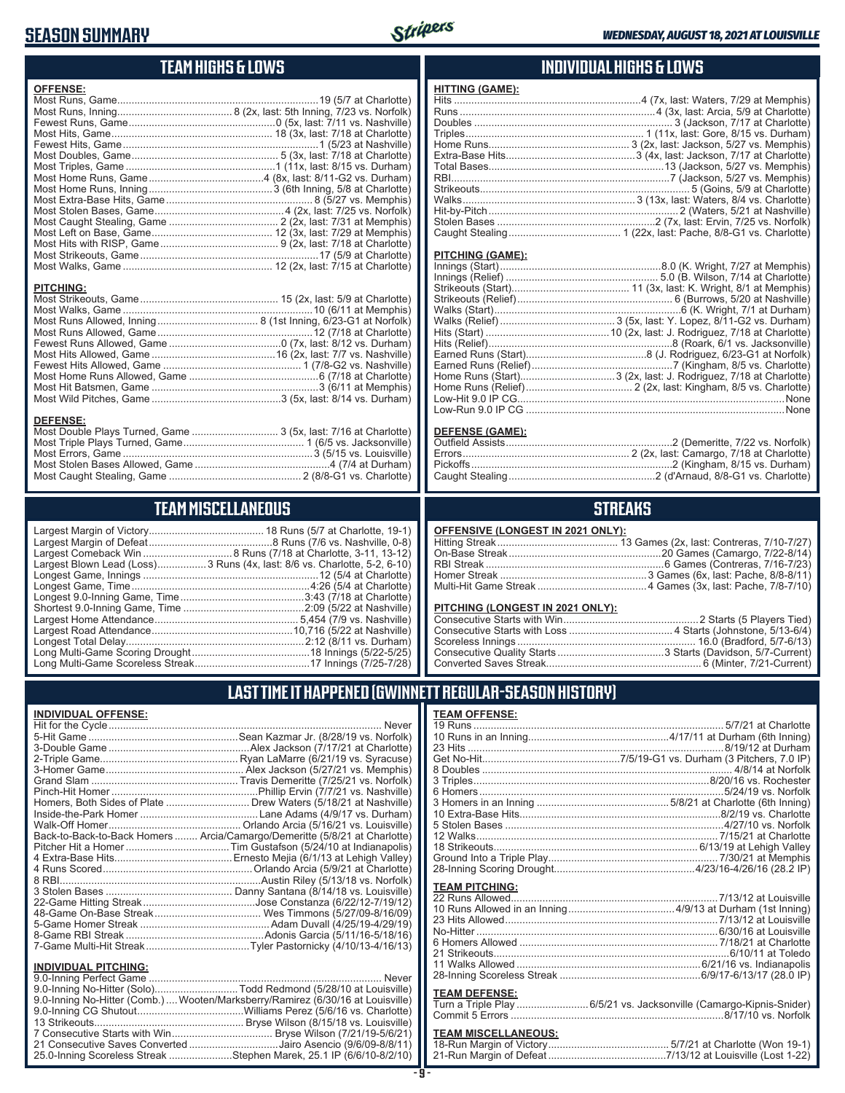### **SEASON SUMMARY**



#### **TEAM HIGHS & LOWS**

| <b>OFFENSE:</b>               |                                |
|-------------------------------|--------------------------------|
|                               |                                |
|                               |                                |
|                               |                                |
|                               |                                |
|                               |                                |
|                               |                                |
|                               |                                |
|                               |                                |
|                               |                                |
|                               |                                |
|                               |                                |
|                               |                                |
|                               |                                |
|                               |                                |
|                               |                                |
|                               |                                |
|                               |                                |
| <b>PITCHING:</b>              |                                |
|                               |                                |
|                               |                                |
|                               |                                |
|                               |                                |
|                               |                                |
|                               |                                |
|                               |                                |
|                               |                                |
|                               |                                |
|                               |                                |
|                               |                                |
| <b>DEFENSE:</b>               |                                |
| Most Double Plays Turned Game | 3 (5v last: 7/16 at Charlotte) |

| Most Double Plays Turned, Game  3 (5x, last: 7/16 at Charlotte) |  |
|-----------------------------------------------------------------|--|
|                                                                 |  |
|                                                                 |  |
|                                                                 |  |
|                                                                 |  |

### **TEAM MISCELLANEOUS**

| Largest Blown Lead (Loss)3 Runs (4x, last: 8/6 vs. Charlotte, 5-2, 6-10) |
|--------------------------------------------------------------------------|
|                                                                          |
| Longest Game, Time……………………………………………………4:26 (5/4 at Charlotte)            |
|                                                                          |
|                                                                          |
|                                                                          |
|                                                                          |
|                                                                          |
|                                                                          |
|                                                                          |
|                                                                          |

#### **INDIVIDUAL HIGHS & LOWS**

| <b>HITTING (GAME):</b> |  |
|------------------------|--|
|                        |  |
|                        |  |
|                        |  |
|                        |  |
|                        |  |
|                        |  |
|                        |  |
|                        |  |
|                        |  |
|                        |  |
|                        |  |
|                        |  |
|                        |  |
|                        |  |

#### **PITCHING (GAME):**

| Low-Run 9.0 IP CG …………………………………………………………………………………None |
|-------------------------------------------------------|

#### **DEFENSE (GAME):**

#### **STREAKS**

| OFFENSIVE (LONGEST IN 2021 ONLY): |  |
|-----------------------------------|--|
|-----------------------------------|--|

#### **PITCHING (LONGEST IN 2021 ONLY):**

#### **LAST TIME IT HAPPENED (GWINNETT REGULAR-SEASON HISTORY)**

#### **INDIVIDUAL OFFENSE:**

|                                                               | Homers, Both Sides of Plate ………………………… Drew Waters (5/18/21 at Nashville)  |
|---------------------------------------------------------------|----------------------------------------------------------------------------|
|                                                               |                                                                            |
|                                                               |                                                                            |
|                                                               | Back-to-Back-to-Back Homers  Arcia/Camargo/Demeritte (5/8/21 at Charlotte) |
|                                                               |                                                                            |
|                                                               |                                                                            |
|                                                               |                                                                            |
|                                                               |                                                                            |
|                                                               |                                                                            |
|                                                               |                                                                            |
|                                                               |                                                                            |
|                                                               |                                                                            |
|                                                               |                                                                            |
|                                                               |                                                                            |
|                                                               |                                                                            |
| <b>INDIVIDUAL PITCHING:</b><br><b>Q O-Inning Perfect Game</b> | Never                                                                      |
|                                                               |                                                                            |

| 9.0-Inning No-Hitter (Solo)Todd Redmond (5/28/10 at Louisville)                 |  |
|---------------------------------------------------------------------------------|--|
| 9.0-Inning No-Hitter (Comb.)  Wooten/Marksberry/Ramirez (6/30/16 at Louisville) |  |
|                                                                                 |  |
|                                                                                 |  |
|                                                                                 |  |
| 21 Consecutive Saves Converted Jairo Asencio (9/6/09-8/8/11)                    |  |
| 25.0-Inning Scoreless Streak Stephen Marek, 25.1 IP (6/6/10-8/2/10)             |  |
|                                                                                 |  |

#### **TEAM OFFENSE:**

| <b>TEAM PITCHING:</b> |                                                                    |
|-----------------------|--------------------------------------------------------------------|
|                       |                                                                    |
|                       |                                                                    |
|                       |                                                                    |
|                       |                                                                    |
|                       |                                                                    |
|                       |                                                                    |
|                       |                                                                    |
|                       |                                                                    |
|                       |                                                                    |
| <b>TEAM DEFENSE:</b>  |                                                                    |
|                       | Turn a Triple Play 6/5/21 vs. Jacksonville (Camargo-Kipnis-Snider) |
|                       |                                                                    |

| TEAM MISCELLANEOUS: |                                                                       |  |
|---------------------|-----------------------------------------------------------------------|--|
|                     |                                                                       |  |
|                     | 21-Run Margin of Defeat…………………………………7/13/12 at Louisville (Lost 1-22) |  |